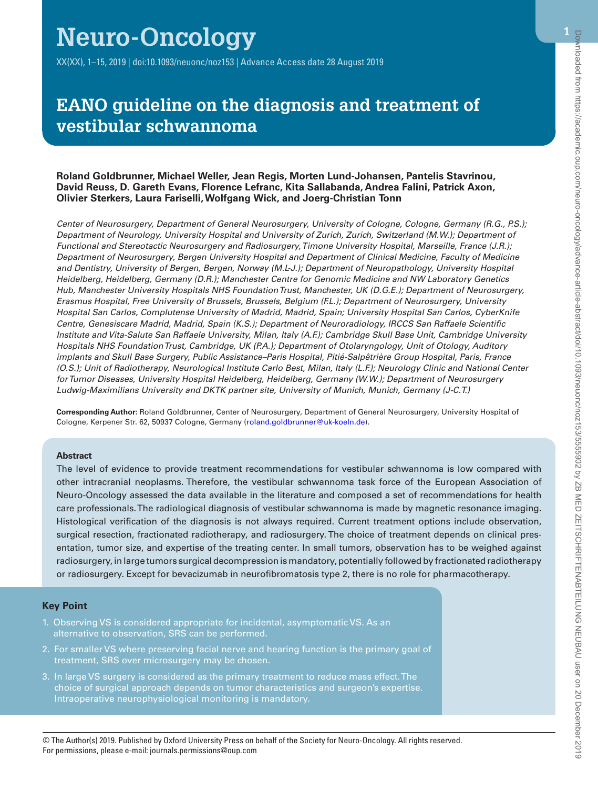# **Neuro-Oncology**

XX(XX), 1–15, 2019 | doi:10.1093/neuonc/noz153 | Advance Access date 28 August 2019

# **EANO guideline on the diagnosis and treatment of vestibular schwannoma**

#### **Roland Goldbrunner, Michael Weller, Jean Regis, Morten Lund-Johansen, Pantelis Stavrinou, David Reuss, D. Gareth Evans, Florence Lefranc, Kita Sallabanda, Andrea Falini, Patrick Axon, Olivier Sterkers, Laura Fariselli, Wolfgang Wick, and Joerg-Christian Tonn**

*Center of Neurosurgery, Department of General Neurosurgery, University of Cologne, Cologne, Germany (R.G., P.S.); Department of Neurology, University Hospital and University of Zurich, Zurich, Switzerland (M.W.); Department of Functional and Stereotactic Neurosurgery and Radiosurgery, Timone University Hospital, Marseille, France (J.R.); Department of Neurosurgery, Bergen University Hospital and Department of Clinical Medicine, Faculty of Medicine and Dentistry, University of Bergen, Bergen, Norway (M.L-J.); Department of Neuropathology, University Hospital Heidelberg, Heidelberg, Germany (D.R.); Manchester Centre for Genomic Medicine and NW Laboratory Genetics Hub, Manchester University Hospitals NHS Foundation Trust, Manchester, UK (D.G.E.); Department of Neurosurgery, Erasmus Hospital, Free University of Brussels, Brussels, Belgium (F.L.); Department of Neurosurgery, University Hospital San Carlos, Complutense University of Madrid, Madrid, Spain; University Hospital San Carlos, CyberKnife Centre, Genesiscare Madrid, Madrid, Spain (K.S.); Department of Neuroradiology, IRCCS San Raffaele Scientific Institute and Vita-Salute San Raffaele University, Milan, Italy (A.F.); Cambridge Skull Base Unit, Cambridge University Hospitals NHS Foundation Trust, Cambridge, UK (P.A.); Department of Otolaryngology, Unit of Otology, Auditory implants and Skull Base Surgery, Public Assistance–Paris Hospital, Pitié-Salpêtrière Group Hospital, Paris, France (O.S.); Unit of Radiotherapy, Neurological Institute Carlo Best, Milan, Italy (L.F.); Neurology Clinic and National Center for Tumor Diseases, University Hospital Heidelberg, Heidelberg, Germany (W.W.); Department of Neurosurgery Ludwig-Maximilians University and DKTK partner site, University of Munich, Munich, Germany (J-C.T.)*

**Corresponding Author:** Roland Goldbrunner, Center of Neurosurgery, Department of General Neurosurgery, University Hospital of Cologne, Kerpener Str. 62, 50937 Cologne, Germany ([roland.goldbrunner@uk-koeln.de\)](mailto:roland.goldbrunner@uk-koeln.de?subject=).

#### **Abstract**

ì

The level of evidence to provide treatment recommendations for vestibular schwannoma is low compared with other intracranial neoplasms. Therefore, the vestibular schwannoma task force of the European Association of Neuro-Oncology assessed the data available in the literature and composed a set of recommendations for health care professionals. The radiological diagnosis of vestibular schwannoma is made by magnetic resonance imaging. Histological verification of the diagnosis is not always required. Current treatment options include observation, surgical resection, fractionated radiotherapy, and radiosurgery. The choice of treatment depends on clinical presentation, tumor size, and expertise of the treating center. In small tumors, observation has to be weighed against radiosurgery, in large tumors surgical decompression is mandatory, potentially followed by fractionated radiotherapy or radiosurgery. Except for bevacizumab in neurofibromatosis type 2, there is no role for pharmacotherapy.

#### **Key Point**

- 1. Observing VS is considered appropriate for incidental, asymptomatic VS. As an alternative to observation, SRS can be performed.
- 2. For smaller VS where preserving facial nerve and hearing function is the primary goal of treatment, SRS over microsurgery may be chosen.
- 3. In large VS surgery is considered as the primary treatment to reduce mass effect. The choice of surgical approach depends on tumor characteristics and surgeon's expertise. Intraoperative neurophysiological monitoring is mandatory.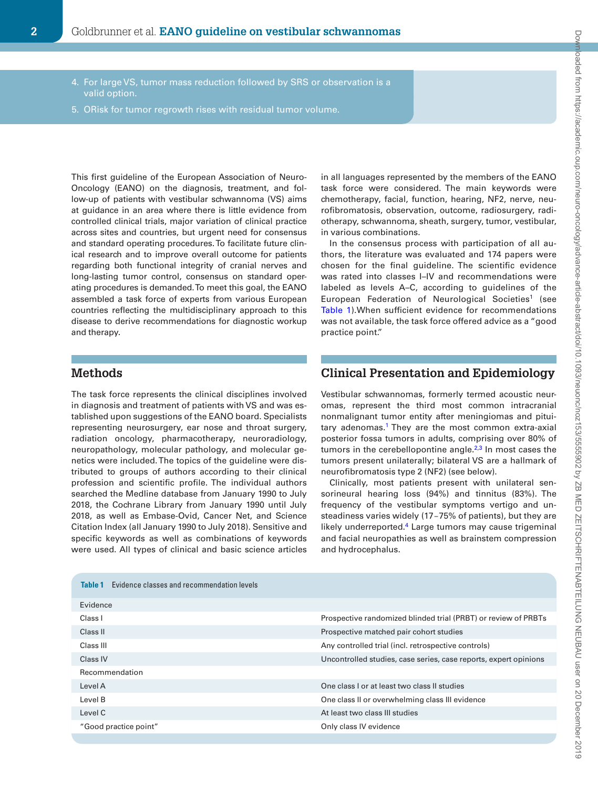4. For large VS, tumor mass reduction followed by SRS or observation is a 5. ORisk for tumor regrowth rises with residual tumor volume. This first guideline of the European Association of Neuro-Oncology (EANO) on the diagnosis, treatment, and follow-up of patients with vestibular schwannoma (VS) aims at guidance in an area where there is little evidence from controlled clinical trials, major variation of clinical practice across sites and countries, but urgent need for consensus and standard operating procedures. To facilitate future clinin all languages represented by the members of the EANO task force were considered. The main keywords were chemotherapy, facial, function, hearing, NF2, nerve, neurofibromatosis, observation, outcome, radiosurgery, radiotherapy, schwannoma, sheath, surgery, tumor, vestibular, in various combinations. In the consensus process with participation of all au-

thors, the literature was evaluated and 174 papers were chosen for the final guideline. The scientific evidence was rated into classes I–IV and recommendations were labeled as levels A–C, according to guidelines of the European Federation of Neurological Societies<sup>1</sup> (see [Table 1\)](#page-1-0).When sufficient evidence for recommendations was not available, the task force offered advice as a "good practice point."

# **Methods**

and therapy.

valid option.

The task force represents the clinical disciplines involved in diagnosis and treatment of patients with VS and was established upon suggestions of the EANO board. Specialists representing neurosurgery, ear nose and throat surgery, radiation oncology, pharmacotherapy, neuroradiology, neuropathology, molecular pathology, and molecular genetics were included. The topics of the guideline were distributed to groups of authors according to their clinical profession and scientific profile. The individual authors searched the Medline database from January 1990 to July 2018, the Cochrane Library from January 1990 until July 2018, as well as Embase-Ovid, Cancer Net, and Science Citation Index (all January 1990 to July 2018). Sensitive and specific keywords as well as combinations of keywords were used. All types of clinical and basic science articles

ical research and to improve overall outcome for patients regarding both functional integrity of cranial nerves and long-lasting tumor control, consensus on standard operating procedures is demanded. To meet this goal, the EANO assembled a task force of experts from various European countries reflecting the multidisciplinary approach to this disease to derive recommendations for diagnostic workup

# **Clinical Presentation and Epidemiology**

Vestibular schwannomas, formerly termed acoustic neuromas, represent the third most common intracranial nonmalignant tumor entity after meningiomas and pituitary adenomas.[1](#page-9-0) They are the most common extra-axial posterior fossa tumors in adults, comprising over 80% of tumors in the cerebellopontine angle. $2,3$  $2,3$  In most cases the tumors present unilaterally; bilateral VS are a hallmark of neurofibromatosis type 2 (NF2) (see below).

Clinically, most patients present with unilateral sensorineural hearing loss (94%) and tinnitus (83%). The frequency of the vestibular symptoms vertigo and unsteadiness varies widely (17-75% of patients), but they are likely underreported.<sup>4</sup> Large tumors may cause trigeminal and facial neuropathies as well as brainstem compression and hydrocephalus.

<span id="page-1-0"></span>

| Evidence classes and recommendation levels<br>Table 1 |                                                                  |
|-------------------------------------------------------|------------------------------------------------------------------|
| Evidence                                              |                                                                  |
| Class I                                               | Prospective randomized blinded trial (PRBT) or review of PRBTs   |
| Class II                                              | Prospective matched pair cohort studies                          |
| Class III                                             | Any controlled trial (incl. retrospective controls)              |
| Class IV                                              | Uncontrolled studies, case series, case reports, expert opinions |
| Recommendation                                        |                                                                  |
| Level A                                               | One class I or at least two class II studies                     |
| Level B                                               | One class II or overwhelming class III evidence                  |
| Level C                                               | At least two class III studies                                   |
| "Good practice point"                                 | Only class IV evidence                                           |
|                                                       |                                                                  |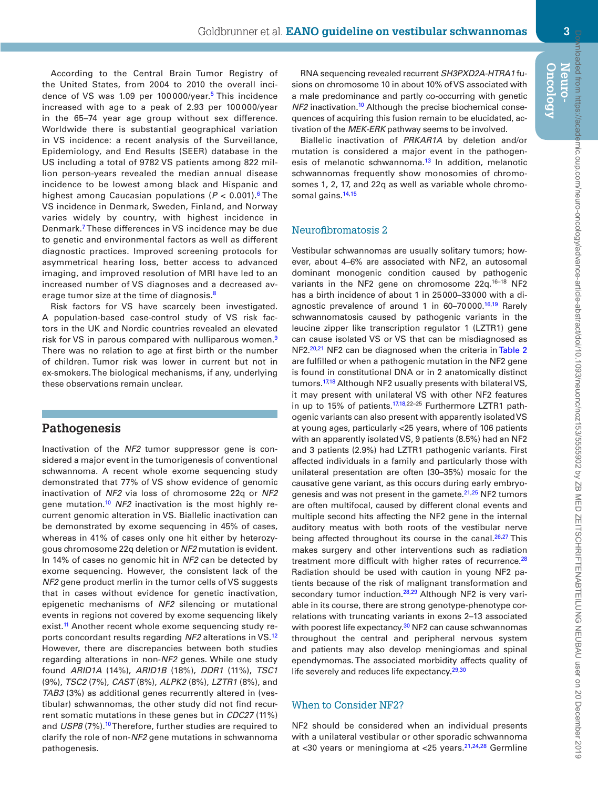According to the Central Brain Tumor Registry of the United States, from 2004 to 2010 the overall incidence of VS was 1.09 per 100000/year.<sup>5</sup> This incidence increased with age to a peak of 2.93 per 100 000/year in the 65–74 year age group without sex difference. Worldwide there is substantial geographical variation in VS incidence: a recent analysis of the Surveillance, Epidemiology, and End Results (SEER) database in the US including a total of 9782 VS patients among 822 million person-years revealed the median annual disease incidence to be lowest among black and Hispanic and highest among Caucasian populations ( $P < 0.001$ ).<sup>6</sup> The VS incidence in Denmark, Sweden, Finland, and Norway varies widely by country, with highest incidence in Denmark.[7](#page-10-4) These differences in VS incidence may be due to genetic and environmental factors as well as different diagnostic practices. Improved screening protocols for asymmetrical hearing loss, better access to advanced imaging, and improved resolution of MRI have led to an increased number of VS diagnoses and a decreased av-erage tumor size at the time of diagnosis.<sup>[8](#page-10-5)</sup>

Risk factors for VS have scarcely been investigated. A population-based case-control study of VS risk factors in the UK and Nordic countries revealed an elevated risk for VS in parous compared with nulliparous women.<sup>[9](#page-10-6)</sup> There was no relation to age at first birth or the number of children. Tumor risk was lower in current but not in ex-smokers. The biological mechanisms, if any, underlying these observations remain unclear.

# **Pathogenesis**

Inactivation of the *NF2* tumor suppressor gene is considered a major event in the tumorigenesis of conventional schwannoma. A recent whole exome sequencing study demonstrated that 77% of VS show evidence of genomic inactivation of *NF2* via loss of chromosome 22q or *NF2* gene mutation[.10](#page-10-7) *NF2* inactivation is the most highly recurrent genomic alteration in VS. Biallelic inactivation can be demonstrated by exome sequencing in 45% of cases, whereas in 41% of cases only one hit either by heterozygous chromosome 22q deletion or *NF2* mutation is evident. In 14% of cases no genomic hit in *NF2* can be detected by exome sequencing. However, the consistent lack of the *NF2* gene product merlin in the tumor cells of VS suggests that in cases without evidence for genetic inactivation, epigenetic mechanisms of *NF2* silencing or mutational events in regions not covered by exome sequencing likely exist.<sup>11</sup> Another recent whole exome sequencing study reports concordant results regarding *NF2* alterations in VS.[12](#page-10-9) However, there are discrepancies between both studies regarding alterations in non-*NF2* genes. While one study found *ARID1A* (14%), *ARID1B* (18%), *DDR1* (11%), *TSC1* (9%), *TSC2* (7%), *CAST* (8%), *ALPK2* (8%), *LZTR1* (8%), and *TAB3* (3%) as additional genes recurrently altered in (vestibular) schwannomas, the other study did not find recurrent somatic mutations in these genes but in *CDC27* (11%) and *USP8* (7%).<sup>10</sup> Therefore, further studies are required to clarify the role of non-*NF2* gene mutations in schwannoma pathogenesis.

RNA sequencing revealed recurrent *SH3PXD2A-HTRA1* fusions on chromosome 10 in about 10% of VS associated with a male predominance and partly co-occurring with genetic *NF2* inactivation.<sup>10</sup> Although the precise biochemical consequences of acquiring this fusion remain to be elucidated, activation of the *MEK-ERK* pathway seems to be involved.

Biallelic inactivation of *PRKAR1A* by deletion and/or mutation is considered a major event in the pathogen-esis of melanotic schwannoma.<sup>[13](#page-10-10)</sup> In addition, melanotic schwannomas frequently show monosomies of chromosomes 1, 2, 17, and 22q as well as variable whole chromo-somal gains.<sup>14,[15](#page-10-12)</sup>

#### Neurofibromatosis 2

Vestibular schwannomas are usually solitary tumors; however, about 4–6% are associated with NF2, an autosomal dominant monogenic condition caused by pathogenic variants in the NF2 gene on chromosome 22q.<sup>16-18</sup> NF2 has a birth incidence of about 1 in 25000–33000 with a diagnostic prevalence of around 1 in 60-70000.<sup>16,19</sup> Rarely schwannomatosis caused by pathogenic variants in the leucine zipper like transcription regulator 1 (LZTR1) gene can cause isolated VS or VS that can be misdiagnosed as NF2.<sup>20,21</sup> NF2 can be diagnosed when the criteria in [Table 2](#page-3-0) are fulfilled or when a pathogenic mutation in the NF2 gene is found in constitutional DNA or in 2 anatomically distinct tumors.<sup>[17,](#page-10-17)[18](#page-10-18)</sup> Although NF2 usually presents with bilateral VS, it may present with unilateral VS with other NF2 features in up to 15% of patients. $17,18,22-25$  $17,18,22-25$  $17,18,22-25$  Furthermore LZTR1 pathogenic variants can also present with apparently isolated VS at young ages, particularly <25 years, where of 106 patients with an apparently isolated VS, 9 patients (8.5%) had an NF2 and 3 patients (2.9%) had LZTR1 pathogenic variants. First affected individuals in a family and particularly those with unilateral presentation are often (30–35%) mosaic for the causative gene variant, as this occurs during early embryogenesis and was not present in the gamete. $21,25$  NF2 tumors are often multifocal, caused by different clonal events and multiple second hits affecting the NF2 gene in the internal auditory meatus with both roots of the vestibular nerve being affected throughout its course in the canal. $26,27$  $26,27$  This makes surgery and other interventions such as radiation treatment more difficult with higher rates of recurrence.<sup>[28](#page-10-22)</sup> Radiation should be used with caution in young NF2 patients because of the risk of malignant transformation and secondary tumor induction.<sup>[28](#page-10-22)[,29](#page-10-23)</sup> Although NF2 is very variable in its course, there are strong genotype-phenotype correlations with truncating variants in exons 2–13 associated with poorest life expectancy.<sup>30</sup> NF2 can cause schwannomas throughout the central and peripheral nervous system and patients may also develop meningiomas and spinal ependymomas. The associated morbidity affects quality of life severely and reduces life expectancy.<sup>29,[30](#page-10-24)</sup>

# When to Consider NF2?

NF2 should be considered when an individual presents with a unilateral vestibular or other sporadic schwannoma at <30 years or meningioma at <25 years.<sup>21,[24,](#page-10-25)[28](#page-10-22)</sup> Germline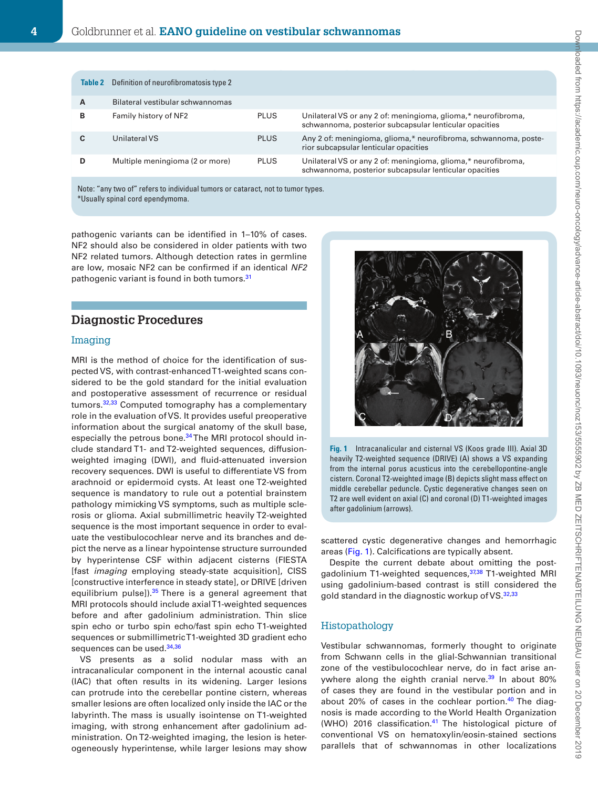<span id="page-3-0"></span>

|   | <b>Table 2</b> Definition of neurofibromatosis type 2 |             |                                                                                                                         |
|---|-------------------------------------------------------|-------------|-------------------------------------------------------------------------------------------------------------------------|
| A | Bilateral vestibular schwannomas                      |             |                                                                                                                         |
| в | Family history of NF2                                 | <b>PLUS</b> | Unilateral VS or any 2 of: meningioma, glioma,* neurofibroma,<br>schwannoma, posterior subcapsular lenticular opacities |
|   | Unilateral VS                                         | <b>PLUS</b> | Any 2 of: meningioma, glioma,* neurofibroma, schwannoma, poste-<br>rior subcapsular lenticular opacities                |
|   | Multiple meningioma (2 or more)                       | <b>PLUS</b> | Unilateral VS or any 2 of: meningioma, glioma,* neurofibroma,<br>schwannoma, posterior subcapsular lenticular opacities |
|   |                                                       |             |                                                                                                                         |

Note: "any two of" refers to individual tumors or cataract, not to tumor types. \*Usually spinal cord ependymoma.

pathogenic variants can be identified in 1–10% of cases. NF2 should also be considered in older patients with two NF2 related tumors. Although detection rates in germline are low, mosaic NF2 can be confirmed if an identical *NF2* pathogenic variant is found in both tumors.<sup>[31](#page-10-26)</sup>

# **Diagnostic Procedures**

#### Imaging

MRI is the method of choice for the identification of suspected VS, with contrast-enhanced T1-weighted scans considered to be the gold standard for the initial evaluation and postoperative assessment of recurrence or residual tumors.<sup>32,[33](#page-10-28)</sup> Computed tomography has a complementary role in the evaluation of VS. It provides useful preoperative information about the surgical anatomy of the skull base, especially the petrous bone.<sup>34</sup> The MRI protocol should include standard T1- and T2-weighted sequences, diffusionweighted imaging (DWI), and fluid-attenuated inversion recovery sequences. DWI is useful to differentiate VS from arachnoid or epidermoid cysts. At least one T2-weighted sequence is mandatory to rule out a potential brainstem pathology mimicking VS symptoms, such as multiple sclerosis or glioma. Axial submillimetric heavily T2-weighted sequence is the most important sequence in order to evaluate the vestibulocochlear nerve and its branches and depict the nerve as a linear hypointense structure surrounded by hyperintense CSF within adjacent cisterns (FIESTA [fast *imaging* employing steady-state acquisition], CISS [constructive interference in steady state], or DRIVE [driven equilibrium pulse]).<sup>35</sup> There is a general agreement that MRI protocols should include axial T1-weighted sequences before and after gadolinium administration. Thin slice spin echo or turbo spin echo/fast spin echo T1-weighted sequences or submillimetric T1-weighted 3D gradient echo sequences can be used.<sup>[34](#page-10-29)[,36](#page-10-31)</sup>

VS presents as a solid nodular mass with an intracanalicular component in the internal acoustic canal (IAC) that often results in its widening. Larger lesions can protrude into the cerebellar pontine cistern, whereas smaller lesions are often localized only inside the IAC or the labyrinth. The mass is usually isointense on T1-weighted imaging, with strong enhancement after gadolinium administration. On T2-weighted imaging, the lesion is heterogeneously hyperintense, while larger lesions may show

<span id="page-3-1"></span>

**Fig. 1** Intracanalicular and cisternal VS (Koos grade III). Axial 3D heavily T2-weighted sequence (DRIVE) (A) shows a VS expanding from the internal porus acusticus into the cerebellopontine-angle cistern. Coronal T2-weighted image (B) depicts slight mass effect on middle cerebellar peduncle. Cystic degenerative changes seen on T2 are well evident on axial (C) and coronal (D) T1-weighted images after gadolinium (arrows).

scattered cystic degenerative changes and hemorrhagic areas ([Fig. 1](#page-3-1)). Calcifications are typically absent.

Despite the current debate about omitting the post-gadolinium T1-weighted sequences,<sup>[37](#page-10-32),38</sup> T1-weighted MRI using gadolinium-based contrast is still considered the gold standard in the diagnostic workup of VS.<sup>32,[33](#page-10-28)</sup>

#### Histopathology

Vestibular schwannomas, formerly thought to originate from Schwann cells in the glial-Schwannian transitional zone of the vestibulocochlear nerve, do in fact arise anywhere along the eighth cranial nerve. $39$  In about 80% of cases they are found in the vestibular portion and in about 20% of cases in the cochlear portion. $40$  The diagnosis is made according to the World Health Organization (WHO) 2016 classification. $41$  The histological picture of conventional VS on hematoxylin/eosin-stained sections parallels that of schwannomas in other localizations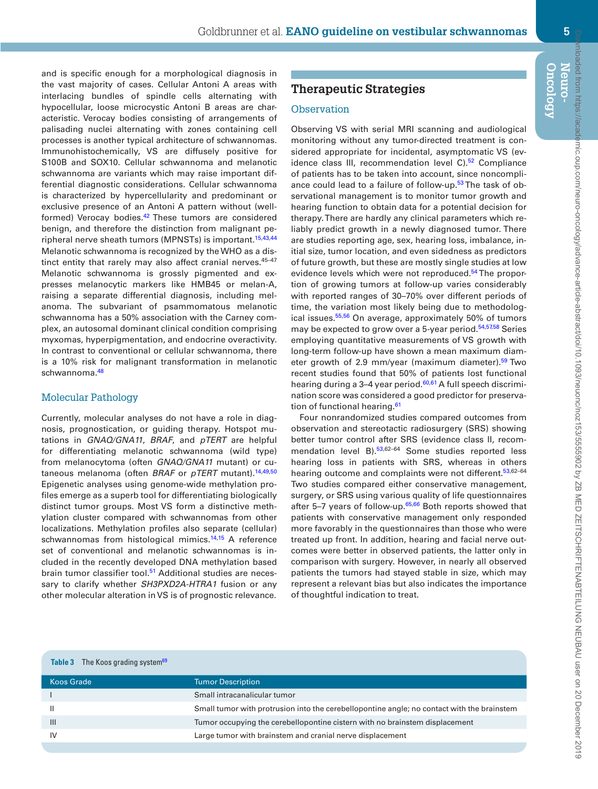Downloaded from https://academic.oup.com/neuro-oncology/advance-article-abstract/doi/10.1093/neuonc/noz153/5555902 by ZB MED ZEITSCHRIFTENABTEILUNG NEUBAU user on 20 December 2019mloaded from https://academic.oup.com/neuro-oncology/advance-article-abstract/doi/10.1093/neuonc/noz153/5555902 by ZB MED ZEITSCHRIFTENABTELUNG NEUBAU user on 20 December 2019

**Oncology Neuro-**

and is specific enough for a morphological diagnosis in the vast majority of cases. Cellular Antoni A areas with interlacing bundles of spindle cells alternating with hypocellular, loose microcystic Antoni B areas are characteristic. Verocay bodies consisting of arrangements of palisading nuclei alternating with zones containing cell processes is another typical architecture of schwannomas. Immunohistochemically, VS are diffusely positive for S100B and SOX10. Cellular schwannoma and melanotic schwannoma are variants which may raise important differential diagnostic considerations. Cellular schwannoma is characterized by hypercellularity and predominant or exclusive presence of an Antoni A pattern without (wellformed) Verocay bodies.<sup>42</sup> These tumors are considered benign, and therefore the distinction from malignant pe-ripheral nerve sheath tumors (MPNSTs) is important.<sup>15,[43](#page-11-0),[44](#page-11-1)</sup> Melanotic schwannoma is recognized by the WHO as a distinct entity that rarely may also affect cranial nerves. 45-47 Melanotic schwannoma is grossly pigmented and expresses melanocytic markers like HMB45 or melan-A, raising a separate differential diagnosis, including melanoma. The subvariant of psammomatous melanotic schwannoma has a 50% association with the Carney complex, an autosomal dominant clinical condition comprising myxomas, hyperpigmentation, and endocrine overactivity. In contrast to conventional or cellular schwannoma, there is a 10% risk for malignant transformation in melanotic schwannoma.<sup>[48](#page-11-2)</sup>

#### Molecular Pathology

Currently, molecular analyses do not have a role in diagnosis, prognostication, or guiding therapy. Hotspot mutations in *GNAQ/GNA11*, *BRAF*, and *pTERT* are helpful for differentiating melanotic schwannoma (wild type) from melanocytoma (often *GNAQ/GNA11* mutant) or cutaneous melanoma (often *BRAF* or *pTERT* mutant)[.14](#page-10-11),[49](#page-11-3),[50](#page-11-4) Epigenetic analyses using genome-wide methylation profiles emerge as a superb tool for differentiating biologically distinct tumor groups. Most VS form a distinctive methylation cluster compared with schwannomas from other localizations. Methylation profiles also separate (cellular) schwannomas from histological mimics.<sup>[14](#page-10-11),15</sup> A reference set of conventional and melanotic schwannomas is included in the recently developed DNA methylation based brain tumor classifier tool.<sup>51</sup> Additional studies are necessary to clarify whether *SH3PXD2A-HTRA1* fusion or any other molecular alteration in VS is of prognostic relevance.

# **Therapeutic Strategies**

# **Observation**

Observing VS with serial MRI scanning and audiological monitoring without any tumor-directed treatment is considered appropriate for incidental, asymptomatic VS (evidence class III, recommendation level  $C$ ).<sup>[52](#page-11-6)</sup> Compliance of patients has to be taken into account, since noncompliance could lead to a failure of follow-up.<sup>53</sup> The task of observational management is to monitor tumor growth and hearing function to obtain data for a potential decision for therapy. There are hardly any clinical parameters which reliably predict growth in a newly diagnosed tumor. There are studies reporting age, sex, hearing loss, imbalance, initial size, tumor location, and even sidedness as predictors of future growth, but these are mostly single studies at low evidence levels which were not reproduced.<sup>54</sup> The proportion of growing tumors at follow-up varies considerably with reported ranges of 30–70% over different periods of time, the variation most likely being due to methodolog-ical issues.<sup>55[,56](#page-11-10)</sup> On average, approximately 50% of tumors may be expected to grow over a 5-year period.<sup>54,[57](#page-11-11),[58](#page-11-12)</sup> Series employing quantitative measurements of VS growth with long-term follow-up have shown a mean maximum diam-eter growth of 2.9 mm/year (maximum diameter).<sup>[59](#page-11-13)</sup> Two recent studies found that 50% of patients lost functional hearing during a  $3-4$  year period.<sup>60,[61](#page-11-15)</sup> A full speech discrimination score was considered a good predictor for preservation of functional hearing.<sup>61</sup>

Four nonrandomized studies compared outcomes from observation and stereotactic radiosurgery (SRS) showing better tumor control after SRS (evidence class II, recommendation level B).<sup>53,62-64</sup> Some studies reported less hearing loss in patients with SRS, whereas in others hearing outcome and complaints were not different.<sup>[53](#page-11-7),62-64</sup> Two studies compared either conservative management, surgery, or SRS using various quality of life questionnaires after 5–7 years of follow-up. $65,66$  $65,66$  Both reports showed that patients with conservative management only responded more favorably in the questionnaires than those who were treated up front. In addition, hearing and facial nerve outcomes were better in observed patients, the latter only in comparison with surgery. However, in nearly all observed patients the tumors had stayed stable in size, which may represent a relevant bias but also indicates the importance of thoughtful indication to treat.

<span id="page-4-0"></span>

| The Koos grading system <sup>69</sup><br>Table 3 |                                                                                            |
|--------------------------------------------------|--------------------------------------------------------------------------------------------|
| Koos Grade                                       | <b>Tumor Description</b>                                                                   |
|                                                  | Small intracanalicular tumor                                                               |
| Ш                                                | Small tumor with protrusion into the cerebellopontine angle; no contact with the brainstem |
| $\mathbf{III}$                                   | Tumor occupying the cerebellopontine cistern with no brainstem displacement                |
| IV                                               | Large tumor with brainstem and cranial nerve displacement                                  |
|                                                  |                                                                                            |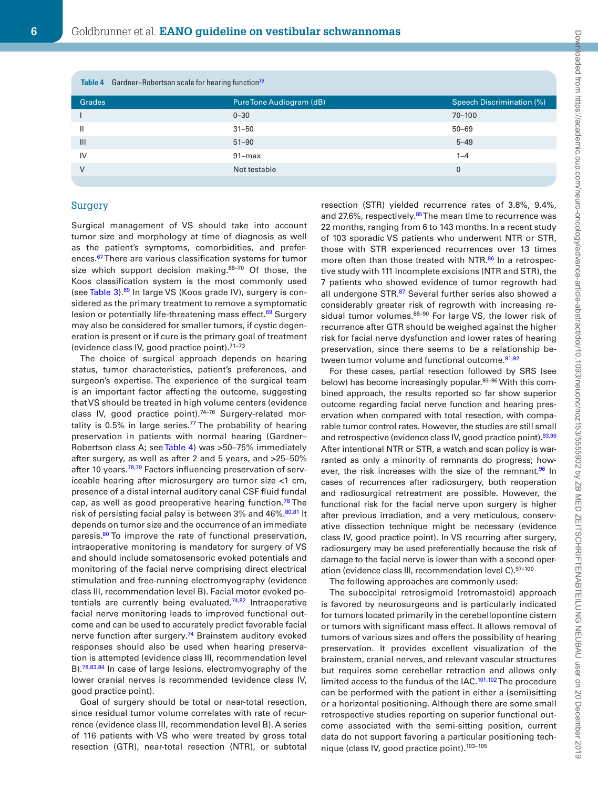<span id="page-5-0"></span>

| Table 4 Gardner-Robertson scale for hearing function <sup>79</sup> |                          |                           |  |  |  |
|--------------------------------------------------------------------|--------------------------|---------------------------|--|--|--|
| <b>Grades</b>                                                      | Pure Tone Audiogram (dB) | Speech Discrimination (%) |  |  |  |
|                                                                    | $0 - 30$                 | $70 - 100$                |  |  |  |
| Ш                                                                  | $31 - 50$                | $50 - 69$                 |  |  |  |
| III                                                                | $51 - 90$                | $5 - 49$                  |  |  |  |
| IV                                                                 | $91 - max$               | $1 - 4$                   |  |  |  |
|                                                                    | Not testable             | 0                         |  |  |  |
|                                                                    |                          |                           |  |  |  |

#### Surgery

Surgical management of VS should take into account tumor size and morphology at time of diagnosis as well as the patient's symptoms, comorbidities, and preferences.<sup>67</sup> There are various classification systems for tumor size which support decision making.<sup>68-70</sup> Of those, the Koos classification system is the most commonly used (see [Table 3](#page-4-0)).<sup>69</sup> In large VS (Koos grade IV), surgery is considered as the primary treatment to remove a symptomatic lesion or potentially life-threatening mass effect.<sup>69</sup> Surgery may also be considered for smaller tumors, if cystic degeneration is present or if cure is the primary goal of treatment (evidence class IV, good practice point).71–73

The choice of surgical approach depends on hearing status, tumor characteristics, patient's preferences, and surgeon's expertise. The experience of the surgical team is an important factor affecting the outcome, suggesting that VS should be treated in high volume centers (evidence class IV, good practice point).<sup>74-76</sup> Surgery-related mortality is 0.5% in large series. $77$  The probability of hearing preservation in patients with normal hearing (Gardner– Robertson class A; see [Table 4](#page-5-0)) was >50-75% immediately after surgery, as well as after 2 and 5 years, and >25–50% after 10 years.<sup>[78](#page-11-21),[79](#page-11-22)</sup> Factors influencing preservation of serviceable hearing after microsurgery are tumor size <1 cm, presence of a distal internal auditory canal CSF fluid fundal cap, as well as good preoperative hearing function.<sup>[78](#page-11-21)</sup> The risk of persisting facial palsy is between 3% and 46%.<sup>80,[81](#page-11-24)</sup> It depends on tumor size and the occurrence of an immediate paresis.<sup>80</sup> To improve the rate of functional preservation, intraoperative monitoring is mandatory for surgery of VS and should include somatosensoric evoked potentials and monitoring of the facial nerve comprising direct electrical stimulation and free-running electromyography (evidence class III, recommendation level B). Facial motor evoked po-tentials are currently being evaluated.<sup>74,[82](#page-12-0)</sup> Intraoperative facial nerve monitoring leads to improved functional outcome and can be used to accurately predict favorable facial nerve function after surgery.<sup>74</sup> Brainstem auditory evoked responses should also be used when hearing preservation is attempted (evidence class III, recommendation level B).<sup>[78](#page-11-21),[83](#page-12-1),84</sup> In case of large lesions, electromyography of the lower cranial nerves is recommended (evidence class IV, good practice point).

Goal of surgery should be total or near-total resection, since residual tumor volume correlates with rate of recurrence (evidence class III, recommendation level B). A series of 116 patients with VS who were treated by gross total resection (GTR), near-total resection (NTR), or subtotal resection (STR) yielded recurrence rates of 3.8%, 9.4%, and 27.6%, respectively.<sup>85</sup> The mean time to recurrence was 22 months, ranging from 6 to 143 months. In a recent study of 103 sporadic VS patients who underwent NTR or STR, those with STR experienced recurrences over 13 times more often than those treated with NTR.<sup>86</sup> In a retrospective study with 111 incomplete excisions (NTR and STR), the 7 patients who showed evidence of tumor regrowth had all undergone STR.<sup>87</sup> Several further series also showed a considerably greater risk of regrowth with increasing residual tumor volumes.<sup>88-90</sup> For large VS, the lower risk of recurrence after GTR should be weighed against the higher risk for facial nerve dysfunction and lower rates of hearing preservation, since there seems to be a relationship be-tween tumor volume and functional outcome.<sup>[91](#page-12-6),[92](#page-12-7)</sup>

For these cases, partial resection followed by SRS (see below) has become increasingly popular.<sup>93-96</sup> With this combined approach, the results reported so far show superior outcome regarding facial nerve function and hearing preservation when compared with total resection, with comparable tumor control rates. However, the studies are still small and retrospective (evidence class IV, good practice point). 93,[96](#page-12-9) After intentional NTR or STR, a watch and scan policy is warranted as only a minority of remnants do progress; however, the risk increases with the size of the remnant.<sup>96</sup> In cases of recurrences after radiosurgery, both reoperation and radiosurgical retreatment are possible. However, the functional risk for the facial nerve upon surgery is higher after previous irradiation, and a very meticulous, conservative dissection technique might be necessary (evidence class IV, good practice point). In VS recurring after surgery, radiosurgery may be used preferentially because the risk of damage to the facial nerve is lower than with a second operation (evidence class III, recommendation level C).97–100

The following approaches are commonly used:

The suboccipital retrosigmoid (retromastoid) approach is favored by neurosurgeons and is particularly indicated for tumors located primarily in the cerebellopontine cistern or tumors with significant mass effect. It allows removal of tumors of various sizes and offers the possibility of hearing preservation. It provides excellent visualization of the brainstem, cranial nerves, and relevant vascular structures but requires some cerebellar retraction and allows only limited access to the fundus of the IAC.<sup>101,102</sup> The procedure can be performed with the patient in either a (semi)sitting or a horizontal positioning. Although there are some small retrospective studies reporting on superior functional outcome associated with the semi-sitting position, current data do not support favoring a particular positioning technique (class IV, good practice point).103–105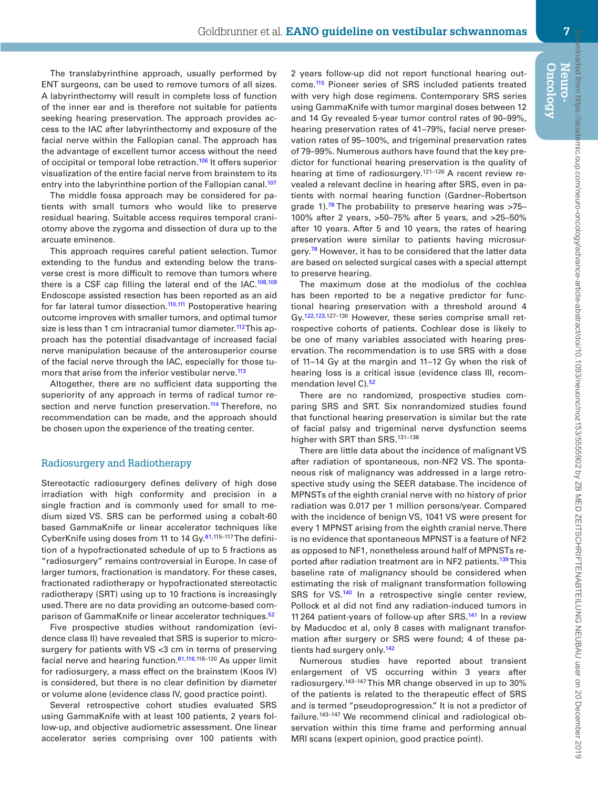The translabyrinthine approach, usually performed by ENT surgeons, can be used to remove tumors of all sizes. A labyrinthectomy will result in complete loss of function of the inner ear and is therefore not suitable for patients seeking hearing preservation. The approach provides access to the IAC after labyrinthectomy and exposure of the facial nerve within the Fallopian canal. The approach has the advantage of excellent tumor access without the need of occipital or temporal lobe retraction.<sup>106</sup> It offers superior visualization of the entire facial nerve from brainstem to its entry into the labyrinthine portion of the Fallopian canal.<sup>[107](#page-12-13)</sup>

The middle fossa approach may be considered for patients with small tumors who would like to preserve residual hearing. Suitable access requires temporal craniotomy above the zygoma and dissection of dura up to the arcuate eminence.

This approach requires careful patient selection. Tumor extending to the fundus and extending below the transverse crest is more difficult to remove than tumors where there is a CSF cap filling the lateral end of the  $IAC$ .<sup>108[,109](#page-12-15)</sup> Endoscope assisted resection has been reported as an aid for far lateral tumor dissection.<sup>110[,111](#page-12-17)</sup> Postoperative hearing outcome improves with smaller tumors, and optimal tumor size is less than 1 cm intracranial tumor diameter.<sup>[112](#page-12-18)</sup> This approach has the potential disadvantage of increased facial nerve manipulation because of the anterosuperior course of the facial nerve through the IAC, especially for those tu-mors that arise from the inferior vestibular nerve.<sup>[113](#page-12-19)</sup>

Altogether, there are no sufficient data supporting the superiority of any approach in terms of radical tumor re-section and nerve function preservation.<sup>[114](#page-12-20)</sup> Therefore, no recommendation can be made, and the approach should be chosen upon the experience of the treating center.

#### Radiosurgery and Radiotherapy

Stereotactic radiosurgery defines delivery of high dose irradiation with high conformity and precision in a single fraction and is commonly used for small to medium sized VS. SRS can be performed using a cobalt-60 based GammaKnife or linear accelerator techniques like CyberKnife using doses from 11 to 14 Gy.<sup>[81](#page-11-24),115-117</sup>The definition of a hypofractionated schedule of up to 5 fractions as "radiosurgery" remains controversial in Europe. In case of larger tumors, fractionation is mandatory. For these cases, fractionated radiotherapy or hypofractionated stereotactic radiotherapy (SRT) using up to 10 fractions is increasingly used. There are no data providing an outcome-based comparison of GammaKnife or linear accelerator techniques.<sup>52</sup>

Five prospective studies without randomization (evidence class II) have revealed that SRS is superior to microsurgery for patients with VS <3 cm in terms of preserving facial nerve and hearing function.[81](#page-11-24),[116](#page-12-21),118–120 As upper limit for radiosurgery, a mass effect on the brainstem (Koos IV) is considered, but there is no clear definition by diameter or volume alone (evidence class IV, good practice point).

Several retrospective cohort studies evaluated SRS using GammaKnife with at least 100 patients, 2 years follow-up, and objective audiometric assessment. One linear accelerator series comprising over 100 patients with

2 years follow-up did not report functional hearing outcome.[115](#page-12-22) Pioneer series of SRS included patients treated with very high dose regimens. Contemporary SRS series using GammaKnife with tumor marginal doses between 12 and 14 Gy revealed 5-year tumor control rates of 90–99%, hearing preservation rates of 41–79%, facial nerve preservation rates of 95–100%, and trigeminal preservation rates of 79–99%. Numerous authors have found that the key predictor for functional hearing preservation is the quality of hearing at time of radiosurgery.<sup>121-126</sup> A recent review revealed a relevant decline in hearing after SRS, even in patients with normal hearing function (Gardner–Robertson grade 1).<sup>[78](#page-11-21)</sup> The probability to preserve hearing was  $>75-$ 100% after 2 years, >50–75% after 5 years, and >25–50% after 10 years. After 5 and 10 years, the rates of hearing preservation were similar to patients having microsur-gery.<sup>[78](#page-11-21)</sup> However, it has to be considered that the latter data are based on selected surgical cases with a special attempt to preserve hearing.

The maximum dose at the modiolus of the cochlea has been reported to be a negative predictor for functional hearing preservation with a threshold around 4 Gy[.122](#page-13-0)[,123,](#page-13-1)127–130 However, these series comprise small retrospective cohorts of patients. Cochlear dose is likely to be one of many variables associated with hearing preservation. The recommendation is to use SRS with a dose of 11–14 Gy at the margin and 11–12 Gy when the risk of hearing loss is a critical issue (evidence class III, recom-mendation level C).<sup>[52](#page-11-6)</sup>

There are no randomized, prospective studies comparing SRS and SRT. Six nonrandomized studies found that functional hearing preservation is similar but the rate of facial palsy and trigeminal nerve dysfunction seems higher with SRT than SRS.<sup>131-138</sup>

There are little data about the incidence of malignant VS after radiation of spontaneous, non-NF2 VS. The spontaneous risk of malignancy was addressed in a large retrospective study using the SEER database. The incidence of MPNSTs of the eighth cranial nerve with no history of prior radiation was 0.017 per 1 million persons/year. Compared with the incidence of benign VS, 1041 VS were present for every 1 MPNST arising from the eighth cranial nerve. There is no evidence that spontaneous MPNST is a feature of NF2 as opposed to NF1, nonetheless around half of MPNSTs re-ported after radiation treatment are in NF2 patients.<sup>[139](#page-13-2)</sup>This baseline rate of malignancy should be considered when estimating the risk of malignant transformation following SRS for VS.<sup>140</sup> In a retrospective single center review, Pollock et al did not find any radiation-induced tumors in 11264 patient-years of follow-up after SRS[.141](#page-13-4) In a review by Maducdoc et al, only 8 cases with malignant transformation after surgery or SRS were found; 4 of these pa-tients had surgery only.<sup>[142](#page-13-5)</sup>

Numerous studies have reported about transient enlargement of VS occurring within 3 years after radiosurgery.143–147 This MR change observed in up to 30% of the patients is related to the therapeutic effect of SRS and is termed "pseudoprogression." It is not a predictor of failure.143–147 We recommend clinical and radiological observation within this time frame and performing annual MRI scans (expert opinion, good practice point).

**Oncology Neuro-**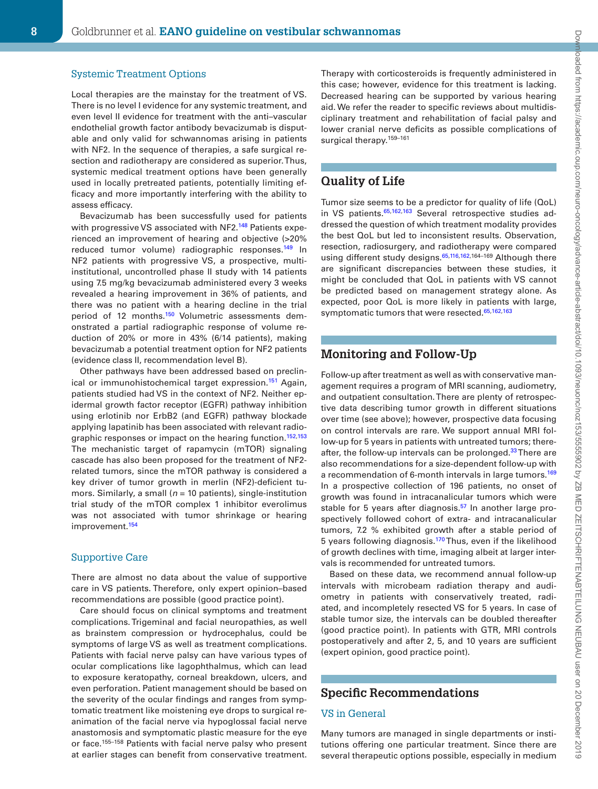#### Systemic Treatment Options

Local therapies are the mainstay for the treatment of VS. There is no level I evidence for any systemic treatment, and even level II evidence for treatment with the anti–vascular endothelial growth factor antibody bevacizumab is disputable and only valid for schwannomas arising in patients with NF2. In the sequence of therapies, a safe surgical resection and radiotherapy are considered as superior. Thus, systemic medical treatment options have been generally used in locally pretreated patients, potentially limiting efficacy and more importantly interfering with the ability to assess efficacy.

Bevacizumab has been successfully used for patients with progressive VS associated with NF2.<sup>148</sup> Patients experienced an improvement of hearing and objective (>20% reduced tumor volume) radiographic responses.<sup>149</sup> In NF2 patients with progressive VS, a prospective, multiinstitutional, uncontrolled phase II study with 14 patients using 7.5 mg/kg bevacizumab administered every 3 weeks revealed a hearing improvement in 36% of patients, and there was no patient with a hearing decline in the trial period of 12 months.<sup>150</sup> Volumetric assessments demonstrated a partial radiographic response of volume reduction of 20% or more in 43% (6/14 patients), making bevacizumab a potential treatment option for NF2 patients (evidence class II, recommendation level B).

Other pathways have been addressed based on preclinical or immunohistochemical target expression.<sup>151</sup> Again, patients studied had VS in the context of NF2. Neither epidermal growth factor receptor (EGFR) pathway inhibition using erlotinib nor ErbB2 (and EGFR) pathway blockade applying lapatinib has been associated with relevant radio-graphic responses or impact on the hearing function.<sup>[152](#page-14-0)[,153](#page-14-1)</sup> The mechanistic target of rapamycin (mTOR) signaling cascade has also been proposed for the treatment of NF2 related tumors, since the mTOR pathway is considered a key driver of tumor growth in merlin (NF2)-deficient tumors. Similarly, a small (*n* = 10 patients), single-institution trial study of the mTOR complex 1 inhibitor everolimus was not associated with tumor shrinkage or hearing improvement.<sup>154</sup>

#### Supportive Care

There are almost no data about the value of supportive care in VS patients. Therefore, only expert opinion–based recommendations are possible (good practice point).

Care should focus on clinical symptoms and treatment complications. Trigeminal and facial neuropathies, as well as brainstem compression or hydrocephalus, could be symptoms of large VS as well as treatment complications. Patients with facial nerve palsy can have various types of ocular complications like lagophthalmus, which can lead to exposure keratopathy, corneal breakdown, ulcers, and even perforation. Patient management should be based on the severity of the ocular findings and ranges from symptomatic treatment like moistening eye drops to surgical reanimation of the facial nerve via hypoglossal facial nerve anastomosis and symptomatic plastic measure for the eye or face.<sup>155-158</sup> Patients with facial nerve palsy who present at earlier stages can benefit from conservative treatment.

Therapy with corticosteroids is frequently administered in this case; however, evidence for this treatment is lacking. Decreased hearing can be supported by various hearing aid. We refer the reader to specific reviews about multidisciplinary treatment and rehabilitation of facial palsy and lower cranial nerve deficits as possible complications of surgical therapy.<sup>159-161</sup>

# **Quality of Life**

Tumor size seems to be a predictor for quality of life (QoL) in VS patients. 65,[162](#page-14-3),[163](#page-14-4) Several retrospective studies addressed the question of which treatment modality provides the best QoL but led to inconsistent results. Observation, resection, radiosurgery, and radiotherapy were compared using different study designs.<sup>65,[116](#page-12-21)[,162](#page-14-3),164-169</sup> Although there are significant discrepancies between these studies, it might be concluded that QoL in patients with VS cannot be predicted based on management strategy alone. As expected, poor QoL is more likely in patients with large, symptomatic tumors that were resected.<sup>[65](#page-11-16)[,162](#page-14-3)[,163](#page-14-4)</sup>

# **Monitoring and Follow-Up**

Follow-up after treatment as well as with conservative management requires a program of MRI scanning, audiometry, and outpatient consultation. There are plenty of retrospective data describing tumor growth in different situations over time (see above); however, prospective data focusing on control intervals are rare. We support annual MRI follow-up for 5 years in patients with untreated tumors; thereafter, the follow-up intervals can be prolonged.<sup>33</sup> There are also recommendations for a size-dependent follow-up with a recommendation of 6-month intervals in large tumors.<sup>169</sup> In a prospective collection of 196 patients, no onset of growth was found in intracanalicular tumors which were stable for 5 years after diagnosis.<sup>57</sup> In another large prospectively followed cohort of extra- and intracanalicular tumors, 7.2 % exhibited growth after a stable period of 5 years following diagnosis.<sup>170</sup> Thus, even if the likelihood of growth declines with time, imaging albeit at larger intervals is recommended for untreated tumors.

Based on these data, we recommend annual follow-up intervals with microbeam radiation therapy and audiometry in patients with conservatively treated, radiated, and incompletely resected VS for 5 years. In case of stable tumor size, the intervals can be doubled thereafter (good practice point). In patients with GTR, MRI controls postoperatively and after 2, 5, and 10 years are sufficient (expert opinion, good practice point).

# **Specific Recommendations**

#### VS in General

Many tumors are managed in single departments or institutions offering one particular treatment. Since there are several therapeutic options possible, especially in medium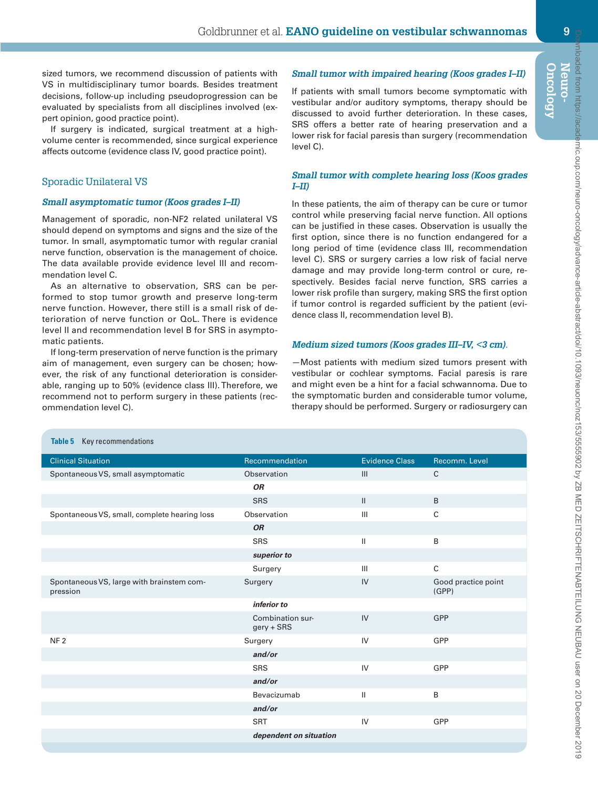sized tumors, we recommend discussion of patients with VS in multidisciplinary tumor boards. Besides treatment decisions, follow-up including pseudoprogression can be evaluated by specialists from all disciplines involved (expert opinion, good practice point).

If surgery is indicated, surgical treatment at a highvolume center is recommended, since surgical experience affects outcome (evidence class IV, good practice point).

## Sporadic Unilateral VS

<span id="page-8-0"></span>**Table 5** Key recommendations

#### *Small asymptomatic tumor (Koos grades I–II)*

Management of sporadic, non-NF2 related unilateral VS should depend on symptoms and signs and the size of the tumor. In small, asymptomatic tumor with regular cranial nerve function, observation is the management of choice. The data available provide evidence level III and recommendation level C.

As an alternative to observation, SRS can be performed to stop tumor growth and preserve long-term nerve function. However, there still is a small risk of deterioration of nerve function or QoL. There is evidence level II and recommendation level B for SRS in asymptomatic patients.

If long-term preservation of nerve function is the primary aim of management, even surgery can be chosen; however, the risk of any functional deterioration is considerable, ranging up to 50% (evidence class III). Therefore, we recommend not to perform surgery in these patients (recommendation level C).

#### *Small tumor with impaired hearing (Koos grades I–II)*

If patients with small tumors become symptomatic with vestibular and/or auditory symptoms, therapy should be discussed to avoid further deterioration. In these cases, SRS offers a better rate of hearing preservation and a lower risk for facial paresis than surgery (recommendation level C).

#### *Small tumor with complete hearing loss (Koos grades I–II)*

In these patients, the aim of therapy can be cure or tumor control while preserving facial nerve function. All options can be justified in these cases. Observation is usually the first option, since there is no function endangered for a long period of time (evidence class III, recommendation level C). SRS or surgery carries a low risk of facial nerve damage and may provide long-term control or cure, respectively. Besides facial nerve function, SRS carries a lower risk profile than surgery, making SRS the first option if tumor control is regarded sufficient by the patient (evidence class II, recommendation level B).

#### *Medium sized tumors (Koos grades III–IV, <3 cm).*

—Most patients with medium sized tumors present with vestibular or cochlear symptoms. Facial paresis is rare and might even be a hint for a facial schwannoma. Due to the symptomatic burden and considerable tumor volume, therapy should be performed. Surgery or radiosurgery can

| <b>Clinical Situation</b>                             | Recommendation                   | <b>Evidence Class</b> | Recomm. Level                |  |  |
|-------------------------------------------------------|----------------------------------|-----------------------|------------------------------|--|--|
| Spontaneous VS, small asymptomatic                    | Observation                      | III                   | $\mathsf{C}$                 |  |  |
| <b>OR</b>                                             |                                  |                       |                              |  |  |
|                                                       | <b>SRS</b>                       | $\mathbf{H}$          | B                            |  |  |
| Spontaneous VS, small, complete hearing loss          | Observation                      | III                   | $\mathsf{C}$                 |  |  |
|                                                       | <b>OR</b>                        |                       |                              |  |  |
|                                                       | <b>SRS</b>                       | Ш                     | B                            |  |  |
| superior to                                           |                                  |                       |                              |  |  |
|                                                       | Surgery                          | III                   | $\mathsf{C}$                 |  |  |
| Spontaneous VS, large with brainstem com-<br>pression | Surgery                          | IV                    | Good practice point<br>(GPP) |  |  |
| inferior to                                           |                                  |                       |                              |  |  |
|                                                       | Combination sur-<br>$gery + SRS$ | IV                    | GPP                          |  |  |
| NF <sub>2</sub>                                       | Surgery                          | IV                    | GPP                          |  |  |
|                                                       | and/or                           |                       |                              |  |  |
|                                                       | <b>SRS</b>                       | IV                    | GPP                          |  |  |
|                                                       | and/or                           |                       |                              |  |  |
|                                                       | Bevacizumab                      | Ш                     | B                            |  |  |
|                                                       | and/or                           |                       |                              |  |  |
|                                                       | <b>SRT</b>                       | IV                    | GPP                          |  |  |
|                                                       | dependent on situation           |                       |                              |  |  |
|                                                       |                                  |                       |                              |  |  |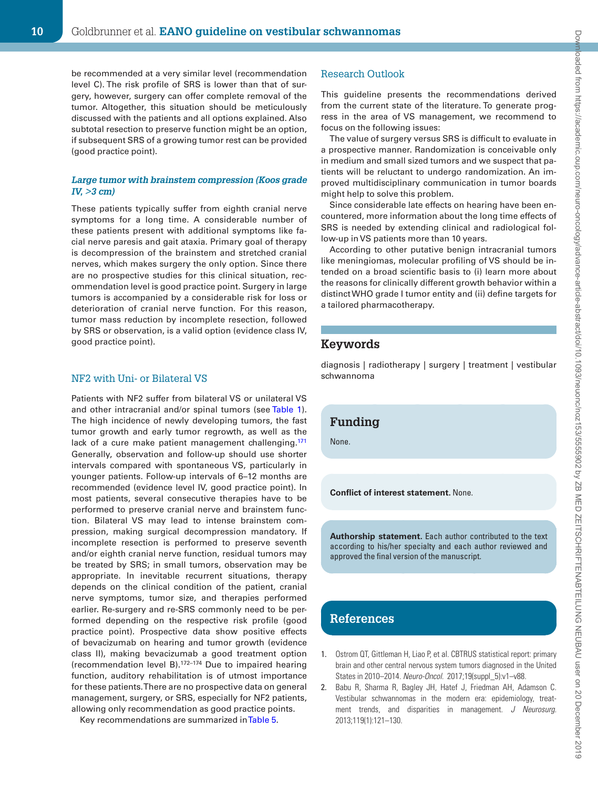be recommended at a very similar level (recommendation level C). The risk profile of SRS is lower than that of surgery, however, surgery can offer complete removal of the tumor. Altogether, this situation should be meticulously discussed with the patients and all options explained. Also subtotal resection to preserve function might be an option, if subsequent SRS of a growing tumor rest can be provided (good practice point).

#### *Large tumor with brainstem compression (Koos grade IV, >3 cm)*

These patients typically suffer from eighth cranial nerve symptoms for a long time. A considerable number of these patients present with additional symptoms like facial nerve paresis and gait ataxia. Primary goal of therapy is decompression of the brainstem and stretched cranial nerves, which makes surgery the only option. Since there are no prospective studies for this clinical situation, recommendation level is good practice point. Surgery in large tumors is accompanied by a considerable risk for loss or deterioration of cranial nerve function. For this reason, tumor mass reduction by incomplete resection, followed by SRS or observation, is a valid option (evidence class IV, good practice point).

#### NF2 with Uni- or Bilateral VS

Patients with NF2 suffer from bilateral VS or unilateral VS and other intracranial and/or spinal tumors (see [Table 1\)](#page-1-0). The high incidence of newly developing tumors, the fast tumor growth and early tumor regrowth, as well as the lack of a cure make patient management challenging.<sup>171</sup> Generally, observation and follow-up should use shorter intervals compared with spontaneous VS, particularly in younger patients. Follow-up intervals of 6–12 months are recommended (evidence level IV, good practice point). In most patients, several consecutive therapies have to be performed to preserve cranial nerve and brainstem function. Bilateral VS may lead to intense brainstem compression, making surgical decompression mandatory. If incomplete resection is performed to preserve seventh and/or eighth cranial nerve function, residual tumors may be treated by SRS; in small tumors, observation may be appropriate. In inevitable recurrent situations, therapy depends on the clinical condition of the patient, cranial nerve symptoms, tumor size, and therapies performed earlier. Re-surgery and re-SRS commonly need to be performed depending on the respective risk profile (good practice point). Prospective data show positive effects of bevacizumab on hearing and tumor growth (evidence class II), making bevacizumab a good treatment option (recommendation level B).172–174 Due to impaired hearing function, auditory rehabilitation is of utmost importance for these patients. There are no prospective data on general management, surgery, or SRS, especially for NF2 patients, allowing only recommendation as good practice points.

Key recommendations are summarized in [Table 5](#page-8-0).

#### Research Outlook

This guideline presents the recommendations derived from the current state of the literature. To generate progress in the area of VS management, we recommend to focus on the following issues:

The value of surgery versus SRS is difficult to evaluate in a prospective manner. Randomization is conceivable only in medium and small sized tumors and we suspect that patients will be reluctant to undergo randomization. An improved multidisciplinary communication in tumor boards might help to solve this problem.

Since considerable late effects on hearing have been encountered, more information about the long time effects of SRS is needed by extending clinical and radiological follow-up in VS patients more than 10 years.

According to other putative benign intracranial tumors like meningiomas, molecular profiling of VS should be intended on a broad scientific basis to (i) learn more about the reasons for clinically different growth behavior within a distinct WHO grade I tumor entity and (ii) define targets for a tailored pharmacotherapy.

#### **Keywords**

diagnosis | radiotherapy | surgery | treatment | vestibular schwannoma

# **Funding**

None.

**Conflict of interest statement.** None.

**Authorship statement.** Each author contributed to the text according to his/her specialty and each author reviewed and approved the final version of the manuscript.

# **References**

- <span id="page-9-0"></span>1. Ostrom QT, Gittleman H, Liao P, et al. CBTRUS statistical report: primary brain and other central nervous system tumors diagnosed in the United States in 2010–2014. *Neuro-Oncol.* 2017;19(suppl\_5):v1–v88.
- <span id="page-9-1"></span>2. Babu R, Sharma R, Bagley JH, Hatef J, Friedman AH, Adamson C. Vestibular schwannomas in the modern era: epidemiology, treatment trends, and disparities in management. *J Neurosurg.* 2013;119(1):121–130.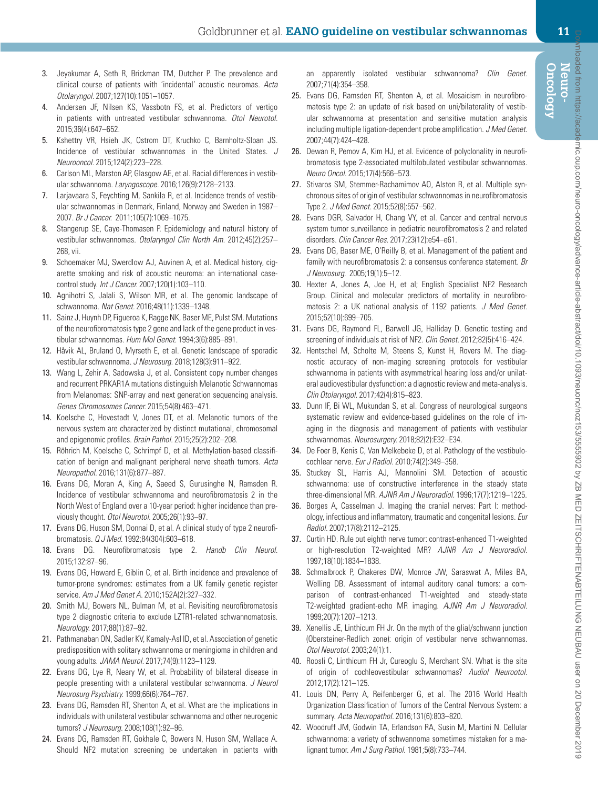- <span id="page-10-1"></span><span id="page-10-0"></span>4. Andersen JF, Nilsen KS, Vassbotn FS, et al. Predictors of vertigo in patients with untreated vestibular schwannoma. *Otol Neurotol.* 2015;36(4):647–652.
- <span id="page-10-2"></span>5. Kshettry VR, Hsieh JK, Ostrom QT, Kruchko C, Barnholtz-Sloan JS. Incidence of vestibular schwannomas in the United States. *J Neurooncol.* 2015;124(2):223–228.
- <span id="page-10-3"></span>6. Carlson ML, Marston AP, Glasgow AE, et al. Racial differences in vestibular schwannoma. *Laryngoscope.* 2016;126(9):2128–2133.
- <span id="page-10-4"></span>7. Larjavaara S, Feychting M, Sankila R, et al. Incidence trends of vestibular schwannomas in Denmark, Finland, Norway and Sweden in 1987– 2007. *Br J Cancer.* 2011;105(7):1069–1075.
- <span id="page-10-5"></span>8. Stangerup SE, Caye-Thomasen P. Epidemiology and natural history of vestibular schwannomas. *Otolaryngol Clin North Am.* 2012;45(2):257– 268, vii.
- <span id="page-10-6"></span>9. Schoemaker MJ, Swerdlow AJ, Auvinen A, et al. Medical history, cigarette smoking and risk of acoustic neuroma: an international casecontrol study. *Int J Cancer.* 2007;120(1):103–110.
- <span id="page-10-7"></span>10. Agnihotri S, Jalali S, Wilson MR, et al. The genomic landscape of schwannoma. *Nat Genet.* 2016;48(11):1339–1348.
- <span id="page-10-8"></span>11. Sainz J, Huynh DP, Figueroa K, Ragge NK, Baser ME, Pulst SM. Mutations of the neurofibromatosis type 2 gene and lack of the gene product in vestibular schwannomas. *Hum Mol Genet.* 1994;3(6):885–891.
- <span id="page-10-9"></span>12. Håvik AL, Bruland O, Myrseth E, et al. Genetic landscape of sporadic vestibular schwannoma. *J Neurosurg.* 2018;128(3):911–922.
- <span id="page-10-10"></span>13. Wang L, Zehir A, Sadowska J, et al. Consistent copy number changes and recurrent PRKAR1A mutations distinguish Melanotic Schwannomas from Melanomas: SNP-array and next generation sequencing analysis. *Genes Chromosomes Cancer.* 2015;54(8):463–471.
- <span id="page-10-11"></span>14. Koelsche C, Hovestadt V, Jones DT, et al. Melanotic tumors of the nervous system are characterized by distinct mutational, chromosomal and epigenomic profiles. *Brain Pathol.* 2015;25(2):202–208.
- <span id="page-10-12"></span>15. Röhrich M, Koelsche C, Schrimpf D, et al. Methylation-based classification of benign and malignant peripheral nerve sheath tumors. *Acta Neuropathol.* 2016;131(6):877–887.
- <span id="page-10-13"></span>16. Evans DG, Moran A, King A, Saeed S, Gurusinghe N, Ramsden R. Incidence of vestibular schwannoma and neurofibromatosis 2 in the North West of England over a 10-year period: higher incidence than previously thought. *Otol Neurotol.* 2005;26(1):93–97.
- <span id="page-10-17"></span>17. Evans DG, Huson SM, Donnai D, et al. A clinical study of type 2 neurofibromatosis. *Q J Med.* 1992;84(304):603–618.
- <span id="page-10-18"></span>18. Evans DG. Neurofibromatosis type 2. *Handb Clin Neurol.* 2015;132:87–96.
- <span id="page-10-14"></span>19. Evans DG, Howard E, Giblin C, et al. Birth incidence and prevalence of tumor-prone syndromes: estimates from a UK family genetic register service. *Am J Med Genet A.* 2010;152A(2):327–332.
- <span id="page-10-15"></span>20. Smith MJ, Bowers NL, Bulman M, et al. Revisiting neurofibromatosis type 2 diagnostic criteria to exclude LZTR1-related schwannomatosis. *Neurology.* 2017;88(1):87–92.
- <span id="page-10-16"></span>21. Pathmanaban ON, Sadler KV, Kamaly-Asl ID, et al. Association of genetic predisposition with solitary schwannoma or meningioma in children and young adults. *JAMA Neurol.* 2017;74(9):1123–1129.
- 22. Evans DG, Lye R, Neary W, et al. Probability of bilateral disease in people presenting with a unilateral vestibular schwannoma. *J Neurol Neurosurg Psychiatry.* 1999;66(6):764–767.
- 23. Evans DG, Ramsden RT, Shenton A, et al. What are the implications in individuals with unilateral vestibular schwannoma and other neurogenic tumors? *J Neurosurg.* 2008;108(1):92–96.
- <span id="page-10-25"></span>24. Evans DG, Ramsden RT, Gokhale C, Bowers N, Huson SM, Wallace A. Should NF2 mutation screening be undertaken in patients with

an apparently isolated vestibular schwannoma? *Clin Genet.* 2007;71(4):354–358.

- <span id="page-10-19"></span>25. Evans DG, Ramsden RT, Shenton A, et al. Mosaicism in neurofibromatosis type 2: an update of risk based on uni/bilaterality of vestibular schwannoma at presentation and sensitive mutation analysis including multiple ligation-dependent probe amplification. *J Med Genet.* 2007;44(7):424–428.
- <span id="page-10-20"></span>26. Dewan R, Pemov A, Kim HJ, et al. Evidence of polyclonality in neurofibromatosis type 2-associated multilobulated vestibular schwannomas. *Neuro Oncol.* 2015;17(4):566–573.
- <span id="page-10-21"></span>27. Stivaros SM, Stemmer-Rachamimov AO, Alston R, et al. Multiple synchronous sites of origin of vestibular schwannomas in neurofibromatosis Type 2. *J Med Genet.* 2015;52(8):557–562.
- <span id="page-10-22"></span>28. Evans DGR, Salvador H, Chang VY, et al. Cancer and central nervous system tumor surveillance in pediatric neurofibromatosis 2 and related disorders. *Clin Cancer Res.* 2017;23(12):e54–e61.
- <span id="page-10-23"></span>29. Evans DG, Baser ME, O'Reilly B, et al. Management of the patient and family with neurofibromatosis 2: a consensus conference statement. *Br J Neurosurg.* 2005;19(1):5–12.
- <span id="page-10-24"></span>30. Hexter A, Jones A, Joe H, et al; English Specialist NF2 Research Group. Clinical and molecular predictors of mortality in neurofibromatosis 2: a UK national analysis of 1192 patients. *J Med Genet.* 2015;52(10):699–705.
- <span id="page-10-26"></span>31. Evans DG, Raymond FL, Barwell JG, Halliday D. Genetic testing and screening of individuals at risk of NF2. *Clin Genet.* 2012;82(5):416–424.
- <span id="page-10-27"></span>32. Hentschel M, Scholte M, Steens S, Kunst H, Rovers M. The diagnostic accuracy of non-imaging screening protocols for vestibular schwannoma in patients with asymmetrical hearing loss and/or unilateral audiovestibular dysfunction: a diagnostic review and meta-analysis. *Clin Otolaryngol.* 2017;42(4):815–823.
- <span id="page-10-28"></span>33. Dunn IF, Bi WL, Mukundan S, et al. Congress of neurological surgeons systematic review and evidence-based guidelines on the role of imaging in the diagnosis and management of patients with vestibular schwannomas. *Neurosurgery.* 2018;82(2):E32–E34.
- <span id="page-10-29"></span>34. De Foer B, Kenis C, Van Melkebeke D, et al. Pathology of the vestibulocochlear nerve. *Eur J Radiol.* 2010;74(2):349–358.
- <span id="page-10-30"></span>35. Stuckey SL, Harris AJ, Mannolini SM. Detection of acoustic schwannoma: use of constructive interference in the steady state three-dimensional MR. *AJNR Am J Neuroradiol.* 1996;17(7):1219–1225.
- <span id="page-10-31"></span>36. Borges A, Casselman J. Imaging the cranial nerves: Part I: methodology, infectious and inflammatory, traumatic and congenital lesions. *Eur Radiol.* 2007;17(8):2112–2125.
- <span id="page-10-32"></span>37. Curtin HD. Rule out eighth nerve tumor: contrast-enhanced T1-weighted or high-resolution T2-weighted MR? *AJNR Am J Neuroradiol.* 1997;18(10):1834–1838.
- <span id="page-10-33"></span>38. Schmalbrock P, Chakeres DW, Monroe JW, Saraswat A, Miles BA, Welling DB. Assessment of internal auditory canal tumors: a comparison of contrast-enhanced T1-weighted and steady-state T2-weighted gradient-echo MR imaging. *AJNR Am J Neuroradiol.* 1999;20(7):1207–1213.
- <span id="page-10-34"></span>39. Xenellis JE, Linthicum FH Jr. On the myth of the glial/schwann junction (Obersteiner-Redlich zone): origin of vestibular nerve schwannomas. *Otol Neurotol.* 2003;24(1):1.
- <span id="page-10-35"></span>40. Roosli C, Linthicum FH Jr, Cureoglu S, Merchant SN. What is the site of origin of cochleovestibular schwannomas? *Audiol Neurootol.* 2012;17(2):121–125.
- <span id="page-10-36"></span>41. Louis DN, Perry A, Reifenberger G, et al. The 2016 World Health Organization Classification of Tumors of the Central Nervous System: a summary. *Acta Neuropathol.* 2016;131(6):803–820.
- <span id="page-10-37"></span>42. Woodruff JM, Godwin TA, Erlandson RA, Susin M, Martini N. Cellular schwannoma: a variety of schwannoma sometimes mistaken for a malignant tumor. *Am J Surg Pathol.* 1981;5(8):733–744.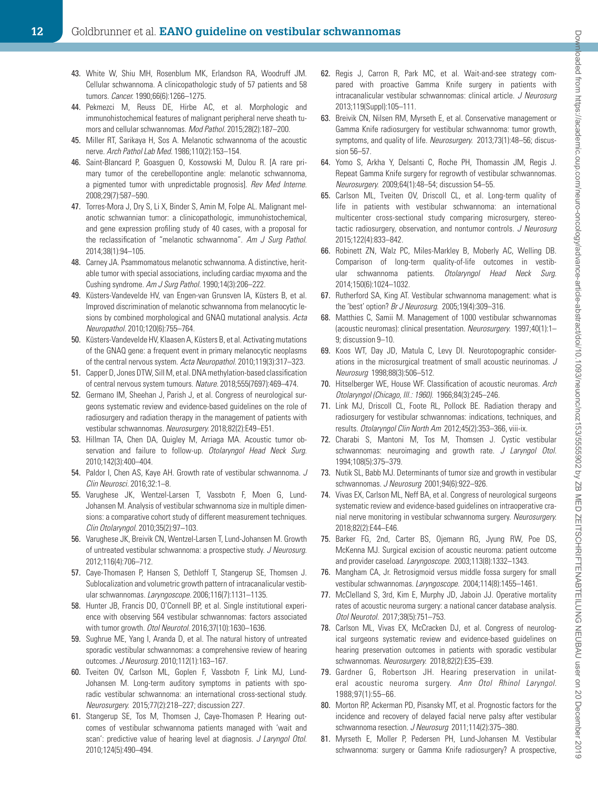- <span id="page-11-0"></span>43. White W, Shiu MH, Rosenblum MK, Erlandson RA, Woodruff JM. Cellular schwannoma. A clinicopathologic study of 57 patients and 58 tumors. *Cancer.* 1990;66(6):1266–1275.
- <span id="page-11-1"></span>44. Pekmezci M, Reuss DE, Hirbe AC, et al. Morphologic and immunohistochemical features of malignant peripheral nerve sheath tumors and cellular schwannomas. *Mod Pathol.* 2015;28(2):187–200.
- 45. Miller RT, Sarikaya H, Sos A. Melanotic schwannoma of the acoustic nerve. *Arch Pathol Lab Med.* 1986;110(2):153–154.
- 46. Saint-Blancard P, Goasguen O, Kossowski M, Dulou R. [A rare primary tumor of the cerebellopontine angle: melanotic schwannoma, a pigmented tumor with unpredictable prognosis]. *Rev Med Interne.* 2008;29(7):587–590.
- 47. Torres-Mora J, Dry S, Li X, Binder S, Amin M, Folpe AL. Malignant melanotic schwannian tumor: a clinicopathologic, immunohistochemical, and gene expression profiling study of 40 cases, with a proposal for the reclassification of "melanotic schwannoma". *Am J Surg Pathol.* 2014;38(1):94–105.
- <span id="page-11-2"></span>48. Carney JA. Psammomatous melanotic schwannoma. A distinctive, heritable tumor with special associations, including cardiac myxoma and the Cushing syndrome. *Am J Surg Pathol.* 1990;14(3):206–222.
- <span id="page-11-3"></span>49. Küsters-Vandevelde HV, van Engen-van Grunsven IA, Küsters B, et al. Improved discrimination of melanotic schwannoma from melanocytic lesions by combined morphological and GNAQ mutational analysis. *Acta Neuropathol.* 2010;120(6):755–764.
- <span id="page-11-4"></span>50. Küsters-Vandevelde HV, Klaasen A, Küsters B, et al. Activating mutations of the GNAQ gene: a frequent event in primary melanocytic neoplasms of the central nervous system. *Acta Neuropathol.* 2010;119(3):317–323.
- <span id="page-11-5"></span>51. Capper D, Jones DTW, Sill M, et al. DNA methylation-based classification of central nervous system tumours. *Nature.* 2018;555(7697):469–474.
- <span id="page-11-6"></span>52. Germano IM, Sheehan J, Parish J, et al. Congress of neurological surgeons systematic review and evidence-based guidelines on the role of radiosurgery and radiation therapy in the management of patients with vestibular schwannomas. *Neurosurgery.* 2018;82(2):E49–E51.
- <span id="page-11-7"></span>53. Hillman TA, Chen DA, Quigley M, Arriaga MA. Acoustic tumor observation and failure to follow-up. *Otolaryngol Head Neck Surg.* 2010;142(3):400–404.
- <span id="page-11-8"></span>54. Paldor I, Chen AS, Kaye AH. Growth rate of vestibular schwannoma. *J Clin Neurosci.* 2016;32:1–8.
- <span id="page-11-9"></span>55. Varughese JK, Wentzel-Larsen T, Vassbotn F, Moen G, Lund-Johansen M. Analysis of vestibular schwannoma size in multiple dimensions: a comparative cohort study of different measurement techniques. *Clin Otolaryngol.* 2010;35(2):97–103.
- <span id="page-11-10"></span>56. Varughese JK, Breivik CN, Wentzel-Larsen T, Lund-Johansen M. Growth of untreated vestibular schwannoma: a prospective study. *J Neurosurg.* 2012;116(4):706–712.
- <span id="page-11-11"></span>57. Caye-Thomasen P, Hansen S, Dethloff T, Stangerup SE, Thomsen J. Sublocalization and volumetric growth pattern of intracanalicular vestibular schwannomas. *Laryngoscope.* 2006;116(7):1131–1135.
- <span id="page-11-12"></span>58. Hunter JB, Francis DO, O'Connell BP, et al. Single institutional experience with observing 564 vestibular schwannomas: factors associated with tumor growth. *Otol Neurotol.* 2016;37(10):1630–1636.
- <span id="page-11-13"></span>59. Sughrue ME, Yang I, Aranda D, et al. The natural history of untreated sporadic vestibular schwannomas: a comprehensive review of hearing outcomes. *J Neurosurg.* 2010;112(1):163–167.
- <span id="page-11-14"></span>60. Tveiten OV, Carlson ML, Goplen F, Vassbotn F, Link MJ, Lund-Johansen M. Long-term auditory symptoms in patients with sporadic vestibular schwannoma: an international cross-sectional study. *Neurosurgery.* 2015;77(2):218–227; discussion 227.
- <span id="page-11-15"></span>61. Stangerup SE, Tos M, Thomsen J, Caye-Thomasen P. Hearing outcomes of vestibular schwannoma patients managed with 'wait and scan': predictive value of hearing level at diagnosis. *J Laryngol Otol.* 2010;124(5):490–494.
- 62. Regis J, Carron R, Park MC, et al. Wait-and-see strategy compared with proactive Gamma Knife surgery in patients with intracanalicular vestibular schwannomas: clinical article. *J Neurosurg*  2013;119(Suppl):105–111.
- 63. Breivik CN, Nilsen RM, Myrseth E, et al. Conservative management or Gamma Knife radiosurgery for vestibular schwannoma: tumor growth, symptoms, and quality of life. *Neurosurgery.* 2013;73(1):48–56; discussion 56–57.
- 64. Yomo S, Arkha Y, Delsanti C, Roche PH, Thomassin JM, Regis J. Repeat Gamma Knife surgery for regrowth of vestibular schwannomas. *Neurosurgery.* 2009;64(1):48–54; discussion 54–55.
- <span id="page-11-16"></span>65. Carlson ML, Tveiten OV, Driscoll CL, et al. Long-term quality of life in patients with vestibular schwannoma: an international multicenter cross-sectional study comparing microsurgery, stereotactic radiosurgery, observation, and nontumor controls. *J Neurosurg*  2015;122(4):833–842.
- <span id="page-11-17"></span>66. Robinett ZN, Walz PC, Miles-Markley B, Moberly AC, Welling DB. Comparison of long-term quality-of-life outcomes in vestibular schwannoma patients. *Otolaryngol Head Neck Surg.*  2014;150(6):1024–1032.
- <span id="page-11-19"></span>67. Rutherford SA, King AT. Vestibular schwannoma management: what is the 'best' option? *Br J Neurosurg.* 2005;19(4):309–316.
- 68. Matthies C, Samii M. Management of 1000 vestibular schwannomas (acoustic neuromas): clinical presentation. *Neurosurgery.* 1997;40(1):1– 9; discussion 9–10.
- <span id="page-11-18"></span>69. Koos WT, Day JD, Matula C, Levy DI. Neurotopographic considerations in the microsurgical treatment of small acoustic neurinomas. *J Neurosurg* 1998;88(3):506–512.
- 70. Hitselberger WE, House WF. Classification of acoustic neuromas. *Arch Otolaryngol (Chicago, Ill.: 1960).* 1966;84(3):245–246.
- 71. Link MJ, Driscoll CL, Foote RL, Pollock BE. Radiation therapy and radiosurgery for vestibular schwannomas: indications, techniques, and results. *Otolaryngol Clin North Am* 2012;45(2):353–366, viii-ix.
- 72. Charabi S, Mantoni M, Tos M, Thomsen J. Cystic vestibular schwannomas: neuroimaging and growth rate. *J Laryngol Otol.*  1994;108(5):375–379.
- 73. Nutik SL, Babb MJ. Determinants of tumor size and growth in vestibular schwannomas. *J Neurosurg* 2001;94(6):922–926.
- <span id="page-11-25"></span>74. Vivas EX, Carlson ML, Neff BA, et al. Congress of neurological surgeons systematic review and evidence-based guidelines on intraoperative cranial nerve monitoring in vestibular schwannoma surgery. *Neurosurgery.*  2018;82(2):E44–E46.
- 75. Barker FG, 2nd, Carter BS, Ojemann RG, Jyung RW, Poe DS, McKenna MJ. Surgical excision of acoustic neuroma: patient outcome and provider caseload. *Laryngoscope.* 2003;113(8):1332–1343.
- 76. Mangham CA, Jr. Retrosigmoid versus middle fossa surgery for small vestibular schwannomas. *Laryngoscope.* 2004;114(8):1455–1461.
- <span id="page-11-20"></span>77. McClelland S, 3rd, Kim E, Murphy JD, Jaboin JJ. Operative mortality rates of acoustic neuroma surgery: a national cancer database analysis. *Otol Neurotol.* 2017;38(5):751–753.
- <span id="page-11-21"></span>78. Carlson ML, Vivas EX, McCracken DJ, et al. Congress of neurological surgeons systematic review and evidence-based guidelines on hearing preservation outcomes in patients with sporadic vestibular schwannomas. *Neurosurgery.* 2018;82(2):E35–E39.
- <span id="page-11-22"></span>79. Gardner G, Robertson JH. Hearing preservation in unilateral acoustic neuroma surgery. *Ann Otol Rhinol Laryngol.*  1988;97(1):55–66.
- <span id="page-11-23"></span>80. Morton RP, Ackerman PD, Pisansky MT, et al. Prognostic factors for the incidence and recovery of delayed facial nerve palsy after vestibular schwannoma resection. *J Neurosurg* 2011;114(2):375–380.
- <span id="page-11-24"></span>81. Myrseth E, Moller P, Pedersen PH, Lund-Johansen M. Vestibular schwannoma: surgery or Gamma Knife radiosurgery? A prospective,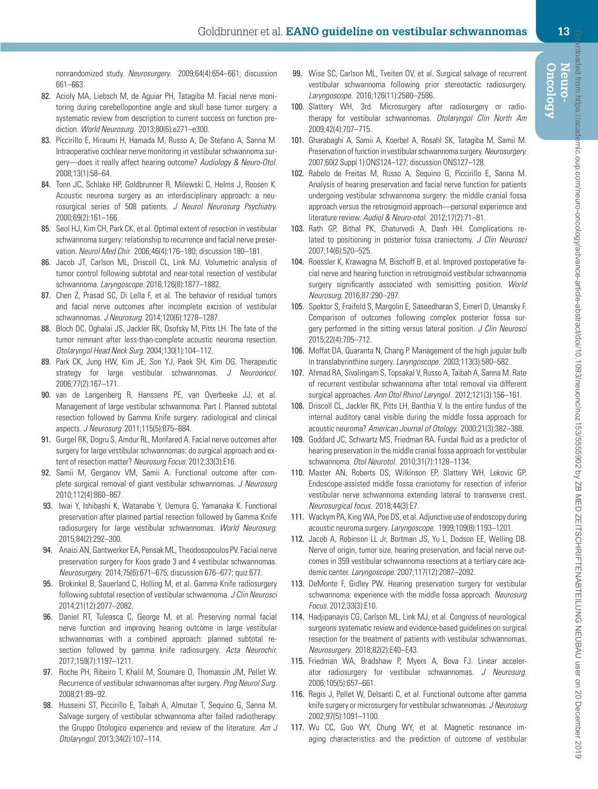nonrandomized study. *Neurosurgery.* 2009;64(4):654–661; discussion 661–663.

- <span id="page-12-0"></span>82. Acioly MA, Liebsch M, de Aguiar PH, Tatagiba M. Facial nerve monitoring during cerebellopontine angle and skull base tumor surgery: a systematic review from description to current success on function prediction. *World Neurosurg.* 2013;80(6):e271–e300.
- <span id="page-12-1"></span>83. Piccirillo E, Hiraumi H, Hamada M, Russo A, De Stefano A, Sanna M. Intraoperative cochlear nerve monitoring in vestibular schwannoma surgery—does it really affect hearing outcome? *Audiology & Neuro-Otol.*  2008;13(1):58–64.
- <span id="page-12-2"></span>84. Tonn JC, Schlake HP, Goldbrunner R, Milewski C, Helms J, Roosen K. Acoustic neuroma surgery as an interdisciplinary approach: a neurosurgical series of 508 patients. *J Neurol Neurosurg Psychiatry.*  2000;69(2):161–166.
- <span id="page-12-3"></span>85. Seol HJ, Kim CH, Park CK, et al. Optimal extent of resection in vestibular schwannoma surgery: relationship to recurrence and facial nerve preservation. *Neurol Med Chir.* 2006;46(4):176–180; discussion 180–181.
- <span id="page-12-4"></span>86. Jacob JT, Carlson ML, Driscoll CL, Link MJ. Volumetric analysis of tumor control following subtotal and near-total resection of vestibular schwannoma. *Laryngoscope.* 2016;126(8):1877–1882.
- <span id="page-12-5"></span>87. Chen Z, Prasad SC, Di Lella F, et al. The behavior of residual tumors and facial nerve outcomes after incomplete excision of vestibular schwannomas. *J Neurosurg.* 2014;120(6):1278–1287.
- 88. Bloch DC, Oghalai JS, Jackler RK, Osofsky M, Pitts LH. The fate of the tumor remnant after less-than-complete acoustic neuroma resection. *Otolaryngol Head Neck Surg.* 2004;130(1):104–112.
- 89. Park CK, Jung HW, Kim JE, Son YJ, Paek SH, Kim DG. Therapeutic strategy for large vestibular schwannomas. *J Neurooncol.* 2006;77(2):167–171.
- 90. van de Langenberg R, Hanssens PE, van Overbeeke JJ, et al. Management of large vestibular schwannoma. Part I. Planned subtotal resection followed by Gamma Knife surgery: radiological and clinical aspects. *J Neurosurg* 2011;115(5):875–884.
- <span id="page-12-6"></span>91. Gurgel RK, Dogru S, Amdur RL, Monfared A. Facial nerve outcomes after surgery for large vestibular schwannomas: do surgical approach and extent of resection matter? *Neurosurg Focus.* 2012;33(3):E16.
- <span id="page-12-7"></span>92. Samii M, Gerganov VM, Samii A. Functional outcome after complete surgical removal of giant vestibular schwannomas. *J Neurosurg*  2010;112(4):860–867.
- <span id="page-12-8"></span> 93. Iwai Y, Ishibashi K, Watanabe Y, Uemura G, Yamanaka K. Functional preservation after planned partial resection followed by Gamma Knife radiosurgery for large vestibular schwannomas. *World Neurosurg.*  2015;84(2):292–300.
- 94. Anaizi AN, Gantwerker EA, Pensak ML, Theodosopoulos PV. Facial nerve preservation surgery for Koos grade 3 and 4 vestibular schwannomas. *Neurosurgery.* 2014;75(6):671–675; discussion 676–677; quiz 677.
- 95. Brokinkel B, Sauerland C, Holling M, et al. Gamma Knife radiosurgery following subtotal resection of vestibular schwannoma. *J Clin Neurosci*  2014;21(12):2077–2082.
- <span id="page-12-9"></span> 96. Daniel RT, Tuleasca C, George M, et al. Preserving normal facial nerve function and improving hearing outcome in large vestibular schwannomas with a combined approach: planned subtotal resection followed by gamma knife radiosurgery. *Acta Neurochir.*  2017;159(7):1197–1211.
- 97. Roche PH, Ribeiro T, Khalil M, Soumare O, Thomassin JM, Pellet W. Recurrence of vestibular schwannomas after surgery. *Prog Neurol Surg.* 2008;21:89–92.
- 98. Husseini ST, Piccirillo E, Taibah A, Almutair T, Sequino G, Sanna M. Salvage surgery of vestibular schwannoma after failed radiotherapy: the Gruppo Otologico experience and review of the literature. *Am J Otolaryngol.* 2013;34(2):107–114.
- 99. Wise SC, Carlson ML, Tveiten OV, et al. Surgical salvage of recurrent vestibular schwannoma following prior stereotactic radiosurgery. *Laryngoscope.* 2016;126(11):2580–2586.
- 100. Slattery WH, 3rd. Microsurgery after radiosurgery or radiotherapy for vestibular schwannomas. *Otolaryngol Clin North Am*  2009;42(4):707–715.
- <span id="page-12-10"></span>101. Gharabaghi A, Samii A, Koerbel A, Rosahl SK, Tatagiba M, Samii M. Preservation of function in vestibular schwannoma surgery. *Neurosurgery.*  2007;60(2 Suppl 1):ONS124–127; discussion ONS127–128.
- <span id="page-12-11"></span>102. Rabelo de Freitas M, Russo A, Sequino G, Piccirillo E, Sanna M. Analysis of hearing preservation and facial nerve function for patients undergoing vestibular schwannoma surgery: the middle cranial fossa approach versus the retrosigmoid approach—personal experience and literature review. *Audiol & Neuro-otol.* 2012;17(2):71–81.
- 103. Rath GP, Bithal PK, Chaturvedi A, Dash HH. Complications related to positioning in posterior fossa craniectomy. *J Clin Neurosci*  2007;14(6):520–525.
- 104. Roessler K, Krawagna M, Bischoff B, et al. Improved postoperative facial nerve and hearing function in retrosigmoid vestibular schwannoma surgery significantly associated with semisitting position. *World Neurosurg.* 2016;87:290–297.
- 105. Spektor S, Fraifeld S, Margolin E, Saseedharan S, Eimerl D, Umansky F. Comparison of outcomes following complex posterior fossa surgery performed in the sitting versus lateral position. *J Clin Neurosci*  2015;22(4):705–712.
- <span id="page-12-12"></span>106. Moffat DA, Quaranta N, Chang P. Management of the high jugular bulb in translabyrinthine surgery. *Laryngoscope.* 2003;113(3):580–582.
- <span id="page-12-13"></span>107. Ahmad RA, Sivalingam S, Topsakal V, Russo A, Taibah A, Sanna M. Rate of recurrent vestibular schwannoma after total removal via different surgical approaches. *Ann Otol Rhinol Laryngol.* 2012;121(3):156–161.
- <span id="page-12-14"></span>108. Driscoll CL, Jackler RK, Pitts LH, Banthia V. Is the entire fundus of the internal auditory canal visible during the middle fossa approach for acoustic neuroma? *American Journal of Otology.* 2000;21(3):382–388.
- <span id="page-12-15"></span>109. Goddard JC, Schwartz MS, Friedman RA. Fundal fluid as a predictor of hearing preservation in the middle cranial fossa approach for vestibular schwannoma. *Otol Neurotol.* 2010;31(7):1128–1134.
- <span id="page-12-16"></span>110. Master AN, Roberts DS, Wilkinson EP, Slattery WH, Lekovic GP. Endoscope-assisted middle fossa craniotomy for resection of inferior vestibular nerve schwannoma extending lateral to transverse crest. *Neurosurgical focus.* 2018;44(3):E7.
- <span id="page-12-17"></span>111. Wackym PA, King WA, Poe DS, et al. Adjunctive use of endoscopy during acoustic neuroma surgery. *Laryngoscope.* 1999;109(8):1193–1201.
- <span id="page-12-18"></span>112. Jacob A, Robinson LL Jr, Bortman JS, Yu L, Dodson EE, Welling DB. Nerve of origin, tumor size, hearing preservation, and facial nerve outcomes in 359 vestibular schwannoma resections at a tertiary care academic center. *Laryngoscope.* 2007;117(12):2087–2092.
- <span id="page-12-19"></span>113. DeMonte F, Gidley PW. Hearing preservation surgery for vestibular schwannoma: experience with the middle fossa approach. *Neurosurg Focus.* 2012;33(3):E10.
- <span id="page-12-20"></span>114. Hadjipanayis CG, Carlson ML, Link MJ, et al. Congress of neurological surgeons systematic review and evidence-based guidelines on surgical resection for the treatment of patients with vestibular schwannomas. *Neurosurgery.* 2018;82(2):E40–E43.
- <span id="page-12-22"></span>115. Friedman WA, Bradshaw P, Myers A, Bova FJ. Linear accelerator radiosurgery for vestibular schwannomas. *J Neurosurg.* 2006;105(5):657–661.
- <span id="page-12-21"></span>116. Regis J, Pellet W, Delsanti C, et al. Functional outcome after gamma knife surgery or microsurgery for vestibular schwannomas. *J Neurosurg*  2002;97(5):1091–1100.
- 117. Wu CC, Guo WY, Chung WY, et al. Magnetic resonance imaging characteristics and the prediction of outcome of vestibular

**Oncology Neuro-**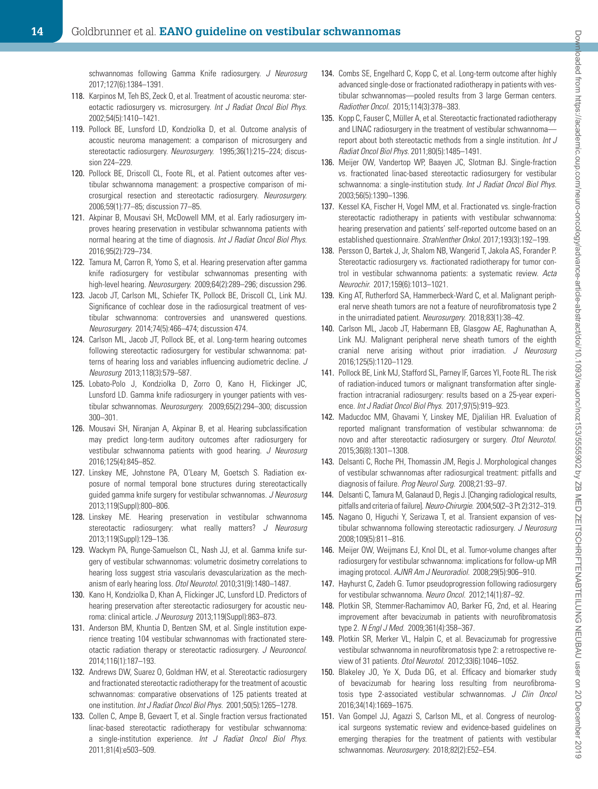schwannomas following Gamma Knife radiosurgery. *J Neurosurg*  2017;127(6):1384–1391.

- 118. Karpinos M, Teh BS, Zeck O, et al. Treatment of acoustic neuroma: stereotactic radiosurgery vs. microsurgery. *Int J Radiat Oncol Biol Phys.*  2002;54(5):1410–1421.
- 119. Pollock BE, Lunsford LD, Kondziolka D, et al. Outcome analysis of acoustic neuroma management: a comparison of microsurgery and stereotactic radiosurgery. *Neurosurgery.* 1995;36(1):215–224; discussion 224–229.
- 120. Pollock BE, Driscoll CL, Foote RL, et al. Patient outcomes after vestibular schwannoma management: a prospective comparison of microsurgical resection and stereotactic radiosurgery. *Neurosurgery.*  2006;59(1):77–85; discussion 77–85.
- 121. Akpinar B, Mousavi SH, McDowell MM, et al. Early radiosurgery improves hearing preservation in vestibular schwannoma patients with normal hearing at the time of diagnosis. *Int J Radiat Oncol Biol Phys.*  2016;95(2):729–734.
- <span id="page-13-0"></span>122. Tamura M, Carron R, Yomo S, et al. Hearing preservation after gamma knife radiosurgery for vestibular schwannomas presenting with high-level hearing. *Neurosurgery.* 2009;64(2):289–296; discussion 296.
- <span id="page-13-1"></span>123. Jacob JT, Carlson ML, Schiefer TK, Pollock BE, Driscoll CL, Link MJ. Significance of cochlear dose in the radiosurgical treatment of vestibular schwannoma: controversies and unanswered questions. *Neurosurgery.* 2014;74(5):466–474; discussion 474.
- 124. Carlson ML, Jacob JT, Pollock BE, et al. Long-term hearing outcomes following stereotactic radiosurgery for vestibular schwannoma: patterns of hearing loss and variables influencing audiometric decline. *J Neurosurg* 2013;118(3):579–587.
- 125. Lobato-Polo J, Kondziolka D, Zorro O, Kano H, Flickinger JC, Lunsford LD. Gamma knife radiosurgery in younger patients with vestibular schwannomas. *Neurosurgery.* 2009;65(2):294–300; discussion 300–301.
- 126. Mousavi SH, Niranjan A, Akpinar B, et al. Hearing subclassification may predict long-term auditory outcomes after radiosurgery for vestibular schwannoma patients with good hearing. *J Neurosurg*  2016;125(4):845–852.
- 127. Linskey ME, Johnstone PA, O'Leary M, Goetsch S. Radiation exposure of normal temporal bone structures during stereotactically guided gamma knife surgery for vestibular schwannomas. *J Neurosurg*  2013;119(Suppl):800–806.
- 128. Linskey ME. Hearing preservation in vestibular schwannoma stereotactic radiosurgery: what really matters? *J Neurosurg*  2013;119(Suppl):129–136.
- 129. Wackym PA, Runge-Samuelson CL, Nash JJ, et al. Gamma knife surgery of vestibular schwannomas: volumetric dosimetry correlations to hearing loss suggest stria vascularis devascularization as the mechanism of early hearing loss. *Otol Neurotol.* 2010;31(9):1480–1487.
- 130. Kano H, Kondziolka D, Khan A, Flickinger JC, Lunsford LD. Predictors of hearing preservation after stereotactic radiosurgery for acoustic neuroma: clinical article. *J Neurosurg* 2013;119(Suppl):863–873.
- 131. Anderson BM, Khuntia D, Bentzen SM, et al. Single institution experience treating 104 vestibular schwannomas with fractionated stereotactic radiation therapy or stereotactic radiosurgery. *J Neurooncol.*  2014;116(1):187–193.
- 132. Andrews DW, Suarez O, Goldman HW, et al. Stereotactic radiosurgery and fractionated stereotactic radiotherapy for the treatment of acoustic schwannomas: comparative observations of 125 patients treated at one institution. *Int J Radiat Oncol Biol Phys.* 2001;50(5):1265–1278.
- 133. Collen C, Ampe B, Gevaert T, et al. Single fraction versus fractionated linac-based stereotactic radiotherapy for vestibular schwannoma: a single-institution experience. *Int J Radiat Oncol Biol Phys.*  2011;81(4):e503–509.
- 134. Combs SE, Engelhard C, Kopp C, et al. Long-term outcome after highly advanced single-dose or fractionated radiotherapy in patients with vestibular schwannomas—pooled results from 3 large German centers. *Radiother Oncol.* 2015;114(3):378–383.
- 135. Kopp C, Fauser C, Müller A, et al. Stereotactic fractionated radiotherapy and LINAC radiosurgery in the treatment of vestibular schwannomareport about both stereotactic methods from a single institution. *Int J Radiat Oncol Biol Phys.* 2011;80(5):1485–1491.
- 136. Meijer OW, Vandertop WP, Baayen JC, Slotman BJ. Single-fraction vs. fractionated linac-based stereotactic radiosurgery for vestibular schwannoma: a single-institution study. *Int J Radiat Oncol Biol Phys.* 2003;56(5):1390–1396.
- 137. Kessel KA, Fischer H, Vogel MM, et al. Fractionated vs. single-fraction stereotactic radiotherapy in patients with vestibular schwannoma: hearing preservation and patients' self-reported outcome based on an established questionnaire. *Strahlenther Onkol.* 2017;193(3):192–199.
- 138. Persson O, Bartek J, Jr, Shalom NB, Wangerid T, Jakola AS, Forander P. Stereotactic radiosurgery vs. *f*ractionated radiotherapy for tumor control in vestibular schwannoma patients: a systematic review. *Acta Neurochir.* 2017;159(6):1013–1021.
- <span id="page-13-2"></span>139. King AT, Rutherford SA, Hammerbeck-Ward C, et al. Malignant peripheral nerve sheath tumors are not a feature of neurofibromatosis type 2 in the unirradiated patient. *Neurosurgery.* 2018;83(1):38–42.
- <span id="page-13-3"></span>140. Carlson ML, Jacob JT, Habermann EB, Glasgow AE, Raghunathan A, Link MJ. Malignant peripheral nerve sheath tumors of the eighth cranial nerve arising without prior irradiation. *J Neurosurg*  2016;125(5):1120–1129.
- <span id="page-13-4"></span>141. Pollock BE, Link MJ, Stafford SL, Parney IF, Garces YI, Foote RL. The risk of radiation-induced tumors or malignant transformation after singlefraction intracranial radiosurgery: results based on a 25-year experience. *Int J Radiat Oncol Biol Phys.* 2017;97(5):919–923.
- <span id="page-13-5"></span>142. Maducdoc MM, Ghavami Y, Linskey ME, Djalilian HR. Evaluation of reported malignant transformation of vestibular schwannoma: de novo and after stereotactic radiosurgery or surgery. *Otol Neurotol.*  2015;36(8):1301–1308.
- 143. Delsanti C, Roche PH, Thomassin JM, Regis J. Morphological changes of vestibular schwannomas after radiosurgical treatment: pitfalls and diagnosis of failure. *Prog Neurol Surg.* 2008;21:93–97.
- 144. Delsanti C, Tamura M, Galanaud D, Regis J. [Changing radiological results, pitfalls and criteria of failure]. *Neuro-Chirurgie.* 2004;50(2–3 Pt 2):312–319.
- 145. Nagano O, Higuchi Y, Serizawa T, et al. Transient expansion of vestibular schwannoma following stereotactic radiosurgery. *J Neurosurg*  2008;109(5):811–816.
- 146. Meijer OW, Weijmans EJ, Knol DL, et al. Tumor-volume changes after radiosurgery for vestibular schwannoma: implications for follow-up MR imaging protocol. *AJNR Am J Neuroradiol.* 2008;29(5):906–910.
- 147. Hayhurst C, Zadeh G. Tumor pseudoprogression following radiosurgery for vestibular schwannoma. *Neuro Oncol.* 2012;14(1):87–92.
- <span id="page-13-6"></span>148. Plotkin SR, Stemmer-Rachamimov AO, Barker FG, 2nd, et al. Hearing improvement after bevacizumab in patients with neurofibromatosis type 2. *N Engl J Med.* 2009;361(4):358–367.
- <span id="page-13-7"></span>149. Plotkin SR, Merker VL, Halpin C, et al. Bevacizumab for progressive vestibular schwannoma in neurofibromatosis type 2: a retrospective review of 31 patients. *Otol Neurotol.* 2012;33(6):1046–1052.
- <span id="page-13-8"></span>150. Blakeley JO, Ye X, Duda DG, et al. Efficacy and biomarker study of bevacizumab for hearing loss resulting from neurofibromatosis type 2-associated vestibular schwannomas. *J Clin Oncol* 2016;34(14):1669–1675.
- <span id="page-13-9"></span>151. Van Gompel JJ, Agazzi S, Carlson ML, et al. Congress of neurological surgeons systematic review and evidence-based guidelines on emerging therapies for the treatment of patients with vestibular schwannomas. *Neurosurgery.* 2018;82(2):E52–E54.